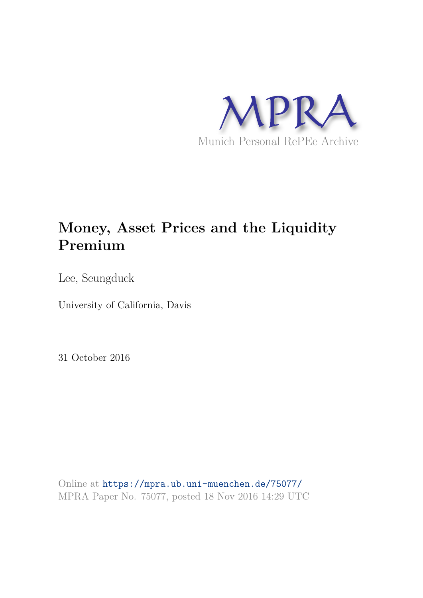

# **Money, Asset Prices and the Liquidity Premium**

Lee, Seungduck

University of California, Davis

31 October 2016

Online at https://mpra.ub.uni-muenchen.de/75077/ MPRA Paper No. 75077, posted 18 Nov 2016 14:29 UTC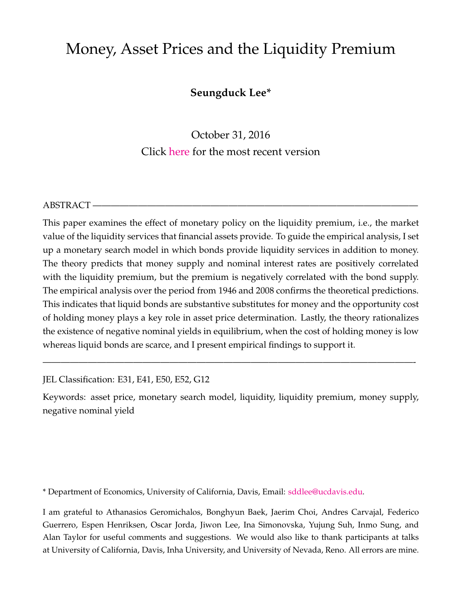# Money, Asset Prices and the Liquidity Premium

### **Seungduck Lee\***

October 31, 2016 Click here for the most recent version

#### ABSTRACT –

This paper examines the effect of monetary policy on the liquidity premium, i.e., the market value of the liquidity services that financial assets provide. To guide the empirical analysis, I set up a monetary search model in which bonds provide liquidity services in addition to money. The theory predicts that money supply and nominal interest rates are positively correlated with the liquidity premium, but the premium is negatively correlated with the bond supply. The empirical analysis over the period from 1946 and 2008 confirms the theoretical predictions. This indicates that liquid bonds are substantive substitutes for money and the opportunity cost of holding money plays a key role in asset price determination. Lastly, the theory rationalizes the existence of negative nominal yields in equilibrium, when the cost of holding money is low whereas liquid bonds are scarce, and I present empirical findings to support it.

JEL Classification: E31, E41, E50, E52, G12

Keywords: asset price, monetary search model, liquidity, liquidity premium, money supply, negative nominal yield

—————————————————————————————————————————-

\* Department of Economics, University of California, Davis, Email: sddlee@ucdavis.edu.

I am grateful to Athanasios Geromichalos, Bonghyun Baek, Jaerim Choi, Andres Carvajal, Federico Guerrero, Espen Henriksen, Oscar Jorda, Jiwon Lee, Ina Simonovska, Yujung Suh, Inmo Sung, and Alan Taylor for useful comments and suggestions. We would also like to thank participants at talks at University of California, Davis, Inha University, and University of Nevada, Reno. All errors are mine.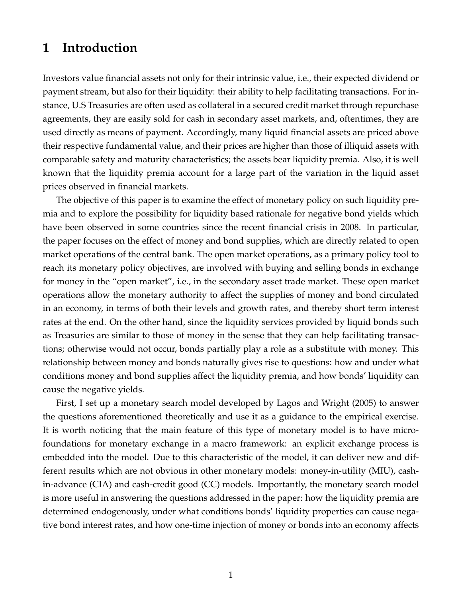### **1 Introduction**

Investors value financial assets not only for their intrinsic value, i.e., their expected dividend or payment stream, but also for their liquidity: their ability to help facilitating transactions. For instance, U.S Treasuries are often used as collateral in a secured credit market through repurchase agreements, they are easily sold for cash in secondary asset markets, and, oftentimes, they are used directly as means of payment. Accordingly, many liquid financial assets are priced above their respective fundamental value, and their prices are higher than those of illiquid assets with comparable safety and maturity characteristics; the assets bear liquidity premia. Also, it is well known that the liquidity premia account for a large part of the variation in the liquid asset prices observed in financial markets.

The objective of this paper is to examine the effect of monetary policy on such liquidity premia and to explore the possibility for liquidity based rationale for negative bond yields which have been observed in some countries since the recent financial crisis in 2008. In particular, the paper focuses on the effect of money and bond supplies, which are directly related to open market operations of the central bank. The open market operations, as a primary policy tool to reach its monetary policy objectives, are involved with buying and selling bonds in exchange for money in the "open market", i.e., in the secondary asset trade market. These open market operations allow the monetary authority to affect the supplies of money and bond circulated in an economy, in terms of both their levels and growth rates, and thereby short term interest rates at the end. On the other hand, since the liquidity services provided by liquid bonds such as Treasuries are similar to those of money in the sense that they can help facilitating transactions; otherwise would not occur, bonds partially play a role as a substitute with money. This relationship between money and bonds naturally gives rise to questions: how and under what conditions money and bond supplies affect the liquidity premia, and how bonds' liquidity can cause the negative yields.

First, I set up a monetary search model developed by Lagos and Wright (2005) to answer the questions aforementioned theoretically and use it as a guidance to the empirical exercise. It is worth noticing that the main feature of this type of monetary model is to have microfoundations for monetary exchange in a macro framework: an explicit exchange process is embedded into the model. Due to this characteristic of the model, it can deliver new and different results which are not obvious in other monetary models: money-in-utility (MIU), cashin-advance (CIA) and cash-credit good (CC) models. Importantly, the monetary search model is more useful in answering the questions addressed in the paper: how the liquidity premia are determined endogenously, under what conditions bonds' liquidity properties can cause negative bond interest rates, and how one-time injection of money or bonds into an economy affects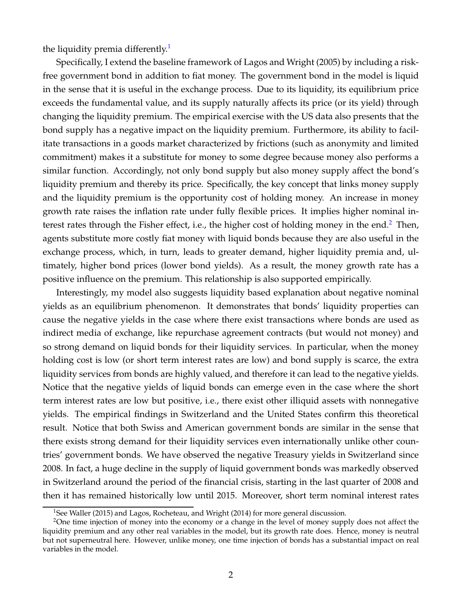the liquidity premia differently.<sup>1</sup>

Specifically, I extend the baseline framework of Lagos and Wright (2005) by including a riskfree government bond in addition to fiat money. The government bond in the model is liquid in the sense that it is useful in the exchange process. Due to its liquidity, its equilibrium price exceeds the fundamental value, and its supply naturally affects its price (or its yield) through changing the liquidity premium. The empirical exercise with the US data also presents that the bond supply has a negative impact on the liquidity premium. Furthermore, its ability to facilitate transactions in a goods market characterized by frictions (such as anonymity and limited commitment) makes it a substitute for money to some degree because money also performs a similar function. Accordingly, not only bond supply but also money supply affect the bond's liquidity premium and thereby its price. Specifically, the key concept that links money supply and the liquidity premium is the opportunity cost of holding money. An increase in money growth rate raises the inflation rate under fully flexible prices. It implies higher nominal interest rates through the Fisher effect, i.e., the higher cost of holding money in the end. $2$  Then, agents substitute more costly fiat money with liquid bonds because they are also useful in the exchange process, which, in turn, leads to greater demand, higher liquidity premia and, ultimately, higher bond prices (lower bond yields). As a result, the money growth rate has a positive influence on the premium. This relationship is also supported empirically.

Interestingly, my model also suggests liquidity based explanation about negative nominal yields as an equilibrium phenomenon. It demonstrates that bonds' liquidity properties can cause the negative yields in the case where there exist transactions where bonds are used as indirect media of exchange, like repurchase agreement contracts (but would not money) and so strong demand on liquid bonds for their liquidity services. In particular, when the money holding cost is low (or short term interest rates are low) and bond supply is scarce, the extra liquidity services from bonds are highly valued, and therefore it can lead to the negative yields. Notice that the negative yields of liquid bonds can emerge even in the case where the short term interest rates are low but positive, i.e., there exist other illiquid assets with nonnegative yields. The empirical findings in Switzerland and the United States confirm this theoretical result. Notice that both Swiss and American government bonds are similar in the sense that there exists strong demand for their liquidity services even internationally unlike other countries' government bonds. We have observed the negative Treasury yields in Switzerland since 2008. In fact, a huge decline in the supply of liquid government bonds was markedly observed in Switzerland around the period of the financial crisis, starting in the last quarter of 2008 and then it has remained historically low until 2015. Moreover, short term nominal interest rates

<sup>&</sup>lt;sup>1</sup>See Waller (2015) and Lagos, Rocheteau, and Wright (2014) for more general discussion.

<sup>&</sup>lt;sup>2</sup>One time injection of money into the economy or a change in the level of money supply does not affect the liquidity premium and any other real variables in the model, but its growth rate does. Hence, money is neutral but not superneutral here. However, unlike money, one time injection of bonds has a substantial impact on real variables in the model.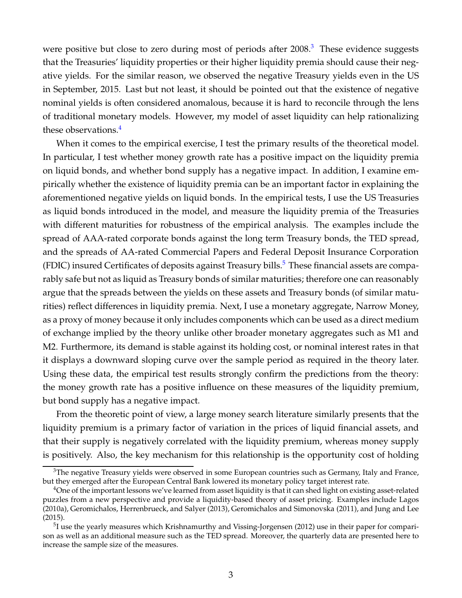were positive but close to zero during most of periods after  $2008<sup>3</sup>$ . These evidence suggests that the Treasuries' liquidity properties or their higher liquidity premia should cause their negative yields. For the similar reason, we observed the negative Treasury yields even in the US in September, 2015. Last but not least, it should be pointed out that the existence of negative nominal yields is often considered anomalous, because it is hard to reconcile through the lens of traditional monetary models. However, my model of asset liquidity can help rationalizing these observations.<sup>4</sup>

When it comes to the empirical exercise, I test the primary results of the theoretical model. In particular, I test whether money growth rate has a positive impact on the liquidity premia on liquid bonds, and whether bond supply has a negative impact. In addition, I examine empirically whether the existence of liquidity premia can be an important factor in explaining the aforementioned negative yields on liquid bonds. In the empirical tests, I use the US Treasuries as liquid bonds introduced in the model, and measure the liquidity premia of the Treasuries with different maturities for robustness of the empirical analysis. The examples include the spread of AAA-rated corporate bonds against the long term Treasury bonds, the TED spread, and the spreads of AA-rated Commercial Papers and Federal Deposit Insurance Corporation (FDIC) insured Certificates of deposits against Treasury bills.<sup>5</sup> These financial assets are comparably safe but not as liquid as Treasury bonds of similar maturities; therefore one can reasonably argue that the spreads between the yields on these assets and Treasury bonds (of similar maturities) reflect differences in liquidity premia. Next, I use a monetary aggregate, Narrow Money, as a proxy of money because it only includes components which can be used as a direct medium of exchange implied by the theory unlike other broader monetary aggregates such as M1 and M2. Furthermore, its demand is stable against its holding cost, or nominal interest rates in that it displays a downward sloping curve over the sample period as required in the theory later. Using these data, the empirical test results strongly confirm the predictions from the theory: the money growth rate has a positive influence on these measures of the liquidity premium, but bond supply has a negative impact.

From the theoretic point of view, a large money search literature similarly presents that the liquidity premium is a primary factor of variation in the prices of liquid financial assets, and that their supply is negatively correlated with the liquidity premium, whereas money supply is positively. Also, the key mechanism for this relationship is the opportunity cost of holding

 $3$ The negative Treasury yields were observed in some European countries such as Germany, Italy and France, but they emerged after the European Central Bank lowered its monetary policy target interest rate.

 $4$ One of the important lessons we've learned from asset liquidity is that it can shed light on existing asset-related puzzles from a new perspective and provide a liquidity-based theory of asset pricing. Examples include Lagos (2010a), Geromichalos, Herrenbrueck, and Salyer (2013), Geromichalos and Simonovska (2011), and Jung and Lee (2015).

<sup>&</sup>lt;sup>5</sup>I use the yearly measures which Krishnamurthy and Vissing-Jorgensen (2012) use in their paper for comparison as well as an additional measure such as the TED spread. Moreover, the quarterly data are presented here to increase the sample size of the measures.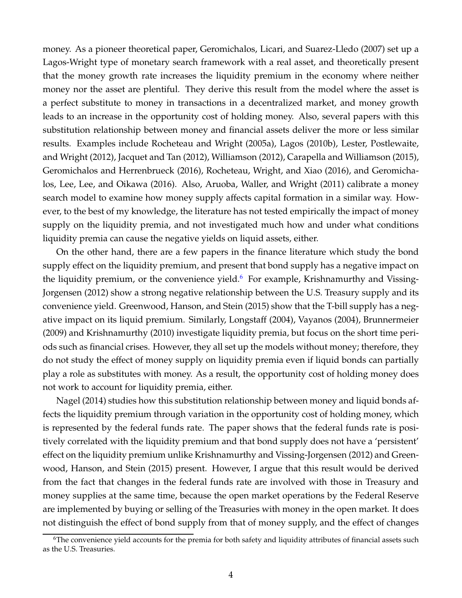money. As a pioneer theoretical paper, Geromichalos, Licari, and Suarez-Lledo (2007) set up a Lagos-Wright type of monetary search framework with a real asset, and theoretically present that the money growth rate increases the liquidity premium in the economy where neither money nor the asset are plentiful. They derive this result from the model where the asset is a perfect substitute to money in transactions in a decentralized market, and money growth leads to an increase in the opportunity cost of holding money. Also, several papers with this substitution relationship between money and financial assets deliver the more or less similar results. Examples include Rocheteau and Wright (2005a), Lagos (2010b), Lester, Postlewaite, and Wright (2012), Jacquet and Tan (2012), Williamson (2012), Carapella and Williamson (2015), Geromichalos and Herrenbrueck (2016), Rocheteau, Wright, and Xiao (2016), and Geromichalos, Lee, Lee, and Oikawa (2016). Also, Aruoba, Waller, and Wright (2011) calibrate a money search model to examine how money supply affects capital formation in a similar way. However, to the best of my knowledge, the literature has not tested empirically the impact of money supply on the liquidity premia, and not investigated much how and under what conditions liquidity premia can cause the negative yields on liquid assets, either.

On the other hand, there are a few papers in the finance literature which study the bond supply effect on the liquidity premium, and present that bond supply has a negative impact on the liquidity premium, or the convenience yield. $6$  For example, Krishnamurthy and Vissing-Jorgensen (2012) show a strong negative relationship between the U.S. Treasury supply and its convenience yield. Greenwood, Hanson, and Stein (2015) show that the T-bill supply has a negative impact on its liquid premium. Similarly, Longstaff (2004), Vayanos (2004), Brunnermeier (2009) and Krishnamurthy (2010) investigate liquidity premia, but focus on the short time periods such as financial crises. However, they all set up the models without money; therefore, they do not study the effect of money supply on liquidity premia even if liquid bonds can partially play a role as substitutes with money. As a result, the opportunity cost of holding money does not work to account for liquidity premia, either.

Nagel (2014) studies how this substitution relationship between money and liquid bonds affects the liquidity premium through variation in the opportunity cost of holding money, which is represented by the federal funds rate. The paper shows that the federal funds rate is positively correlated with the liquidity premium and that bond supply does not have a 'persistent' effect on the liquidity premium unlike Krishnamurthy and Vissing-Jorgensen (2012) and Greenwood, Hanson, and Stein (2015) present. However, I argue that this result would be derived from the fact that changes in the federal funds rate are involved with those in Treasury and money supplies at the same time, because the open market operations by the Federal Reserve are implemented by buying or selling of the Treasuries with money in the open market. It does not distinguish the effect of bond supply from that of money supply, and the effect of changes

 $6$ The convenience yield accounts for the premia for both safety and liquidity attributes of financial assets such as the U.S. Treasuries.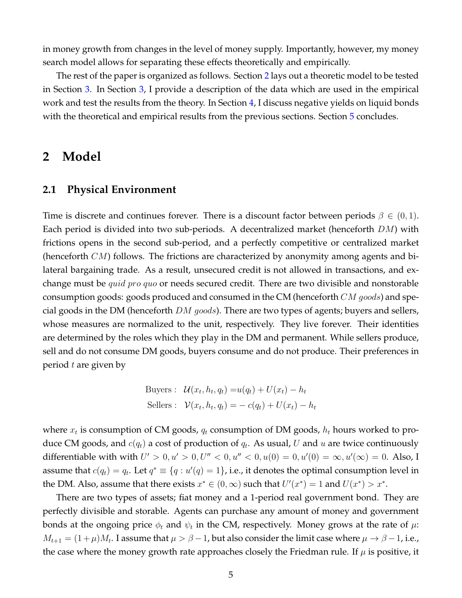in money growth from changes in the level of money supply. Importantly, however, my money search model allows for separating these effects theoretically and empirically.

The rest of the paper is organized as follows. Section 2 lays out a theoretic model to be tested in Section 3. In Section 3, I provide a description of the data which are used in the empirical work and test the results from the theory. In Section 4, I discuss negative yields on liquid bonds with the theoretical and empirical results from the previous sections. Section 5 concludes.

### **2 Model**

#### **2.1 Physical Environment**

Time is discrete and continues forever. There is a discount factor between periods  $\beta \in (0,1)$ . Each period is divided into two sub-periods. A decentralized market (henceforth  $DM$ ) with frictions opens in the second sub-period, and a perfectly competitive or centralized market (henceforth  $CM$ ) follows. The frictions are characterized by anonymity among agents and bilateral bargaining trade. As a result, unsecured credit is not allowed in transactions, and exchange must be *quid pro quo* or needs secured credit. There are two divisible and nonstorable consumption goods: goods produced and consumed in the CM (henceforth  $CM$  goods) and special goods in the DM (henceforth  $DM$  goods). There are two types of agents; buyers and sellers, whose measures are normalized to the unit, respectively. They live forever. Their identities are determined by the roles which they play in the DM and permanent. While sellers produce, sell and do not consume DM goods, buyers consume and do not produce. Their preferences in period  $t$  are given by

Buyers: 
$$
\mathcal{U}(x_t, h_t, q_t) = u(q_t) + U(x_t) - h_t
$$
  
Sellers: 
$$
\mathcal{V}(x_t, h_t, q_t) = -c(q_t) + U(x_t) - h_t
$$

where  $x_t$  is consumption of CM goods,  $q_t$  consumption of DM goods,  $h_t$  hours worked to produce CM goods, and  $c(q_t)$  a cost of production of  $q_t$ . As usual,  $U$  and  $u$  are twice continuously differentiable with with  $U' > 0, u' > 0, U'' < 0, u'' < 0, u(0) = 0, u'(0) = \infty, u'(\infty) = 0$ . Also, I assume that  $c(q_t) = q_t$ . Let  $q^* \equiv \{q : u'(q) = 1\}$ , i.e., it denotes the optimal consumption level in the DM. Also, assume that there exists  $x^* \in (0, \infty)$  such that  $U'(x^*) = 1$  and  $U(x^*) > x^*$ .

There are two types of assets; fiat money and a 1-period real government bond. They are perfectly divisible and storable. Agents can purchase any amount of money and government bonds at the ongoing price  $\phi_t$  and  $\psi_t$  in the CM, respectively. Money grows at the rate of  $\mu$ :  $M_{t+1}=(1+\mu)M_t.$  I assume that  $\mu>\beta-1$ , but also consider the limit case where  $\mu\to\beta-1,$  i.e., the case where the money growth rate approaches closely the Friedman rule. If  $\mu$  is positive, it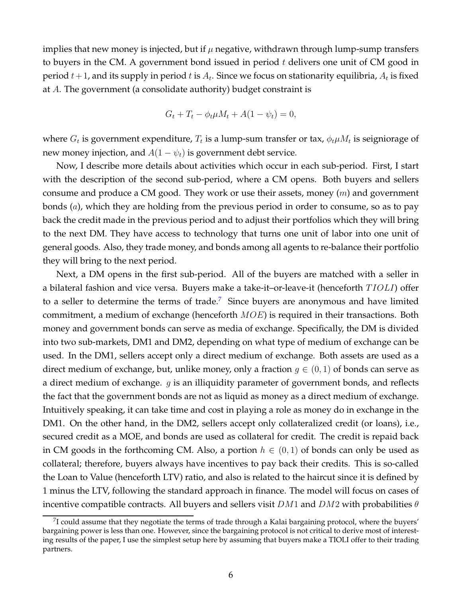implies that new money is injected, but if  $\mu$  negative, withdrawn through lump-sump transfers to buyers in the CM. A government bond issued in period  $t$  delivers one unit of CM good in period  $t+1$ , and its supply in period  $t$  is  $A_t$ . Since we focus on stationarity equilibria,  $A_t$  is fixed at A. The government (a consolidate authority) budget constraint is

$$
G_t + T_t - \phi_t \mu M_t + A(1 - \psi_t) = 0,
$$

where  $G_t$  is government expenditure,  $T_t$  is a lump-sum transfer or tax,  $\phi_t\mu M_t$  is seigniorage of new money injection, and  $A(1 - \psi_t)$  is government debt service.

Now, I describe more details about activities which occur in each sub-period. First, I start with the description of the second sub-period, where a CM opens. Both buyers and sellers consume and produce a CM good. They work or use their assets, money  $(m)$  and government bonds (a), which they are holding from the previous period in order to consume, so as to pay back the credit made in the previous period and to adjust their portfolios which they will bring to the next DM. They have access to technology that turns one unit of labor into one unit of general goods. Also, they trade money, and bonds among all agents to re-balance their portfolio they will bring to the next period.

Next, a DM opens in the first sub-period. All of the buyers are matched with a seller in a bilateral fashion and vice versa. Buyers make a take-it-or-leave-it (henceforth  $TIOLI$ ) offer to a seller to determine the terms of trade.<sup>7</sup> Since buyers are anonymous and have limited commitment, a medium of exchange (henceforth  $MOE$ ) is required in their transactions. Both money and government bonds can serve as media of exchange. Specifically, the DM is divided into two sub-markets, DM1 and DM2, depending on what type of medium of exchange can be used. In the DM1, sellers accept only a direct medium of exchange. Both assets are used as a direct medium of exchange, but, unlike money, only a fraction  $g \in (0,1)$  of bonds can serve as a direct medium of exchange.  $g$  is an illiquidity parameter of government bonds, and reflects the fact that the government bonds are not as liquid as money as a direct medium of exchange. Intuitively speaking, it can take time and cost in playing a role as money do in exchange in the DM1. On the other hand, in the DM2, sellers accept only collateralized credit (or loans), i.e., secured credit as a MOE, and bonds are used as collateral for credit. The credit is repaid back in CM goods in the forthcoming CM. Also, a portion  $h \in (0,1)$  of bonds can only be used as collateral; therefore, buyers always have incentives to pay back their credits. This is so-called the Loan to Value (henceforth LTV) ratio, and also is related to the haircut since it is defined by 1 minus the LTV, following the standard approach in finance. The model will focus on cases of incentive compatible contracts. All buyers and sellers visit  $DM1$  and  $DM2$  with probabilities  $\theta$ 

 $^7$ I could assume that they negotiate the terms of trade through a Kalai bargaining protocol, where the buyers' bargaining power is less than one. However, since the bargaining protocol is not critical to derive most of interesting results of the paper, I use the simplest setup here by assuming that buyers make a TIOLI offer to their trading partners.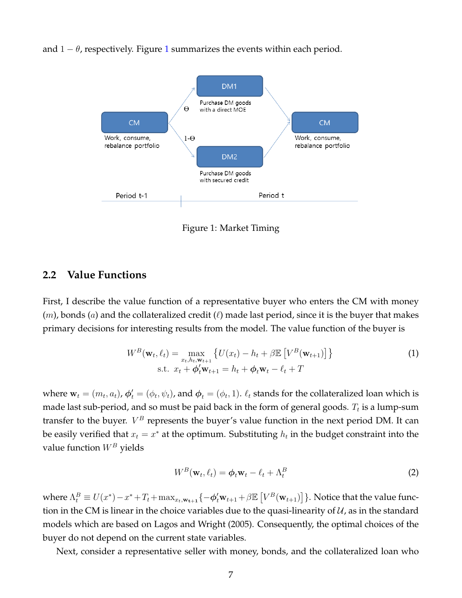and  $1 - \theta$ , respectively. Figure 1 summarizes the events within each period.



Figure 1: Market Timing

#### **2.2 Value Functions**

First, I describe the value function of a representative buyer who enters the CM with money  $(m)$ , bonds  $(a)$  and the collateralized credit  $(\ell)$  made last period, since it is the buyer that makes primary decisions for interesting results from the model. The value function of the buyer is

$$
W^{B}(\mathbf{w}_{t}, \ell_{t}) = \max_{x_{t}, h_{t}, \mathbf{w}_{t+1}} \left\{ U(x_{t}) - h_{t} + \beta \mathbb{E} \left[ V^{B}(\mathbf{w}_{t+1}) \right] \right\}
$$
  
s.t.  $x_{t} + \phi_{t}' \mathbf{w}_{t+1} = h_{t} + \phi_{t} \mathbf{w}_{t} - \ell_{t} + T$  (1)

where  $\mathbf{w}_t=(m_t,a_t)$ ,  $\boldsymbol{\phi}'_t=(\phi_t,\psi_t)$ , and  $\boldsymbol{\phi}_t=(\phi_t,1)$ .  $\ell_t$  stands for the collateralized loan which is made last sub-period, and so must be paid back in the form of general goods.  $T_t$  is a lump-sum transfer to the buyer.  $V^B$  represents the buyer's value function in the next period DM. It can be easily verified that  $x_t = x^*$  at the optimum. Substituting  $h_t$  in the budget constraint into the value function  $W^B$  yields

$$
W^B(\mathbf{w}_t, \ell_t) = \boldsymbol{\phi}_t \mathbf{w}_t - \ell_t + \Lambda_t^B
$$
 (2)

where  $\Lambda_t^B \equiv U(x^*) - x^* + T_t + \max_{x_t, \mathbf{w_{t+1}}} \{-\boldsymbol{\phi}_t^{\prime} \mathbf{w}_{t+1} + \beta \mathbb{E}\left[V^B(\mathbf{w}_{t+1})\right]\}$ . Notice that the value function in the CM is linear in the choice variables due to the quasi-linearity of  $U$ , as in the standard models which are based on Lagos and Wright (2005). Consequently, the optimal choices of the buyer do not depend on the current state variables.

Next, consider a representative seller with money, bonds, and the collateralized loan who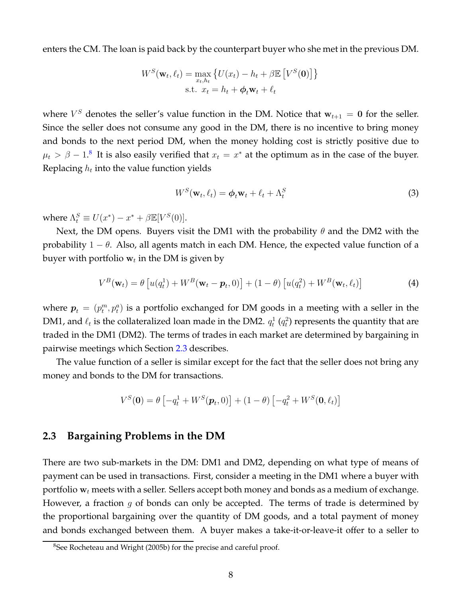enters the CM. The loan is paid back by the counterpart buyer who she met in the previous DM.

$$
W^{S}(\mathbf{w}_{t}, \ell_{t}) = \max_{x_{t}, h_{t}} \{ U(x_{t}) - h_{t} + \beta \mathbb{E} [V^{S}(\mathbf{0})] \}
$$
  
s.t.  $x_{t} = h_{t} + \boldsymbol{\phi}_{t} \mathbf{w}_{t} + \ell_{t}$ 

where  $V^S$  denotes the seller's value function in the DM. Notice that  $w_{t+1} = 0$  for the seller. Since the seller does not consume any good in the DM, there is no incentive to bring money and bonds to the next period DM, when the money holding cost is strictly positive due to  $\mu_t > \beta - 1.8$  It is also easily verified that  $x_t = x^*$  at the optimum as in the case of the buyer. Replacing  $h_t$  into the value function yields

$$
W^{S}(\mathbf{w}_{t}, \ell_{t}) = \boldsymbol{\phi}_{t} \mathbf{w}_{t} + \ell_{t} + \Lambda_{t}^{S}
$$
\n(3)

where  $\Lambda_t^S \equiv U(x^*) - x^* + \beta \mathbb{E}[V^S(0)].$ 

Next, the DM opens. Buyers visit the DM1 with the probability  $\theta$  and the DM2 with the probability  $1 - \theta$ . Also, all agents match in each DM. Hence, the expected value function of a buyer with portfolio  $\mathbf{w}_t$  in the DM is given by

$$
V^{B}(\mathbf{w}_{t}) = \theta \left[ u(q_{t}^{1}) + W^{B}(\mathbf{w}_{t} - \mathbf{p}_{t}, 0) \right] + (1 - \theta) \left[ u(q_{t}^{2}) + W^{B}(\mathbf{w}_{t}, \ell_{t}) \right]
$$
(4)

where  $\boldsymbol{p}_t = (p_t^m, p_t^a)$  is a portfolio exchanged for DM goods in a meeting with a seller in the DM1, and  $\ell_t$  is the collateralized loan made in the DM2.  $q_t^1$   $(q_t^2)$  represents the quantity that are traded in the DM1 (DM2). The terms of trades in each market are determined by bargaining in pairwise meetings which Section 2.3 describes.

The value function of a seller is similar except for the fact that the seller does not bring any money and bonds to the DM for transactions.

$$
V^S(\mathbf{0}) = \theta \left[ -q_t^1 + W^S(\mathbf{p}_t, 0) \right] + (1 - \theta) \left[ -q_t^2 + W^S(\mathbf{0}, \ell_t) \right]
$$

#### **2.3 Bargaining Problems in the DM**

There are two sub-markets in the DM: DM1 and DM2, depending on what type of means of payment can be used in transactions. First, consider a meeting in the DM1 where a buyer with portfolio  $w_t$  meets with a seller. Sellers accept both money and bonds as a medium of exchange. However, a fraction  $g$  of bonds can only be accepted. The terms of trade is determined by the proportional bargaining over the quantity of DM goods, and a total payment of money and bonds exchanged between them. A buyer makes a take-it-or-leave-it offer to a seller to

<sup>&</sup>lt;sup>8</sup>See Rocheteau and Wright (2005b) for the precise and careful proof.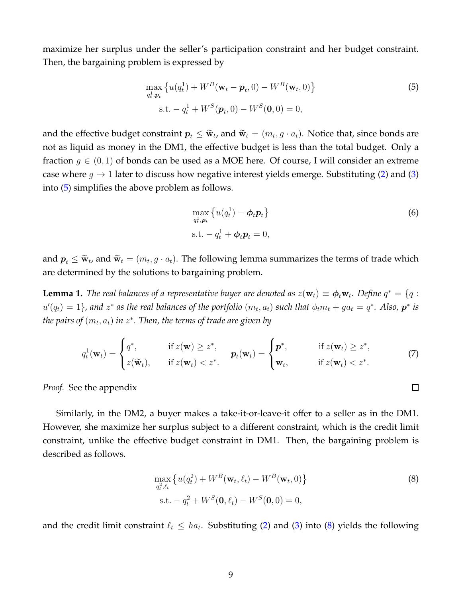maximize her surplus under the seller's participation constraint and her budget constraint. Then, the bargaining problem is expressed by

$$
\max_{q_t^1, p_t} \{ u(q_t^1) + W^B(\mathbf{w}_t - \mathbf{p}_t, 0) - W^B(\mathbf{w}_t, 0) \}
$$
\n
$$
\text{s.t.} - q_t^1 + W^S(\mathbf{p}_t, 0) - W^S(\mathbf{0}, 0) = 0,
$$
\n(5)

and the effective budget constraint  $p_t \leq \widetilde{w}_t$ , and  $\widetilde{w}_t = (m_t, g \cdot a_t)$ . Notice that, since bonds are not as liquid as money in the DM1, the effective budget is less than the total budget. Only a fraction  $g \in (0,1)$  of bonds can be used as a MOE here. Of course, I will consider an extreme case where  $g \to 1$  later to discuss how negative interest yields emerge. Substituting (2) and (3) into (5) simplifies the above problem as follows.

$$
\max_{q_t^1, p_t} \left\{ u(q_t^1) - \phi_t p_t \right\}
$$
  
s.t. 
$$
-q_t^1 + \phi_t p_t = 0,
$$
 (6)

 $\Box$ 

and  $p_t \leq \widetilde{w}_{t}$ , and  $\widetilde{w}_t = (m_t, g \cdot a_t)$ . The following lemma summarizes the terms of trade which are determined by the solutions to bargaining problem.

**Lemma 1.** *The real balances of a representative buyer are denoted as*  $z(\mathbf{w}_t) \equiv \boldsymbol{\phi}_t \mathbf{w}_t$ . Define  $q^* = \{q :$  $u'(q_t) = 1$ }, and  $z^*$  as the real balances of the portfolio  $(m_t, a_t)$  such that  $\phi_t m_t + ga_t = q^*$ . Also,  $p^*$  is  $\hat{p}$  the pairs of  $(m_t,a_t)$  in  $z^*$ . Then, the terms of trade are given by

$$
q_t^1(\mathbf{w}_t) = \begin{cases} q^*, & \text{if } z(\mathbf{w}) \geq z^*, \\ z(\widetilde{\mathbf{w}}_t), & \text{if } z(\mathbf{w}_t) < z^*. \end{cases} \qquad \mathbf{p}_t(\mathbf{w}_t) = \begin{cases} \mathbf{p}^*, & \text{if } z(\mathbf{w}_t) \geq z^*, \\ \mathbf{w}_t, & \text{if } z(\mathbf{w}_t) < z^*. \end{cases} \tag{7}
$$

*Proof.* See the appendix

Similarly, in the DM2, a buyer makes a take-it-or-leave-it offer to a seller as in the DM1. However, she maximize her surplus subject to a different constraint, which is the credit limit constraint, unlike the effective budget constraint in DM1. Then, the bargaining problem is described as follows.

$$
\max_{q_t^2, \ell_t} \left\{ u(q_t^2) + W^B(\mathbf{w}_t, \ell_t) - W^B(\mathbf{w}_t, 0) \right\}
$$
\n
$$
\text{s.t.} - q_t^2 + W^S(\mathbf{0}, \ell_t) - W^S(\mathbf{0}, 0) = 0,
$$
\n(8)

and the credit limit constraint  $\ell_t \leq ha_t$ . Substituting (2) and (3) into (8) yields the following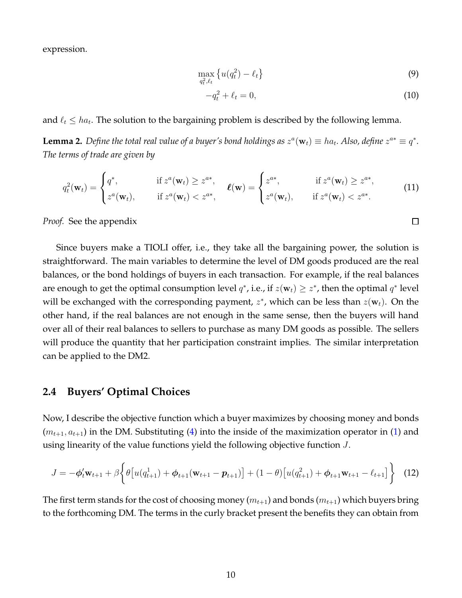expression.

$$
\max_{q_t^2, \ell_t} \left\{ u(q_t^2) - \ell_t \right\} \tag{9}
$$

$$
-q_t^2 + \ell_t = 0,\t\t(10)
$$

 $\Box$ 

and  $\ell_t \leq ha_t$ . The solution to the bargaining problem is described by the following lemma.

**Lemma 2.** Define the total real value of a buyer's bond holdings as  $z^a(\mathbf{w}_t) \equiv ha_t$ . Also, define  $z^{a*} \equiv q^*$ . *The terms of trade are given by*

$$
q_t^2(\mathbf{w}_t) = \begin{cases} q^*, & \text{if } z^a(\mathbf{w}_t) \ge z^{a^*}, \\ z^a(\mathbf{w}_t), & \text{if } z^a(\mathbf{w}_t) < z^{a^*}, \end{cases} \quad \ell(\mathbf{w}) = \begin{cases} z^{a^*}, & \text{if } z^a(\mathbf{w}_t) \ge z^{a^*}, \\ z^a(\mathbf{w}_t), & \text{if } z^a(\mathbf{w}_t) < z^{a^*}. \end{cases} \tag{11}
$$

*Proof.* See the appendix

Since buyers make a TIOLI offer, i.e., they take all the bargaining power, the solution is straightforward. The main variables to determine the level of DM goods produced are the real balances, or the bond holdings of buyers in each transaction. For example, if the real balances are enough to get the optimal consumption level  $q^*$ , i.e., if  $z(\mathbf{w}_t) \geq z^*$ , then the optimal  $q^*$  level will be exchanged with the corresponding payment,  $z^*$ , which can be less than  $z(\mathbf{w}_t)$ . On the other hand, if the real balances are not enough in the same sense, then the buyers will hand over all of their real balances to sellers to purchase as many DM goods as possible. The sellers will produce the quantity that her participation constraint implies. The similar interpretation can be applied to the DM2.

#### **2.4 Buyers' Optimal Choices**

Now, I describe the objective function which a buyer maximizes by choosing money and bonds  $(m_{t+1}, a_{t+1})$  in the DM. Substituting (4) into the inside of the maximization operator in (1) and using linearity of the value functions yield the following objective function J.

$$
J = -\phi_t' \mathbf{w}_{t+1} + \beta \left\{ \theta \left[ u(q_{t+1}^1) + \phi_{t+1}(\mathbf{w}_{t+1} - \mathbf{p}_{t+1}) \right] + (1 - \theta) \left[ u(q_{t+1}^2) + \phi_{t+1} \mathbf{w}_{t+1} - \ell_{t+1} \right] \right\}
$$
(12)

The first term stands for the cost of choosing money ( $m_{t+1}$ ) and bonds ( $m_{t+1}$ ) which buyers bring to the forthcoming DM. The terms in the curly bracket present the benefits they can obtain from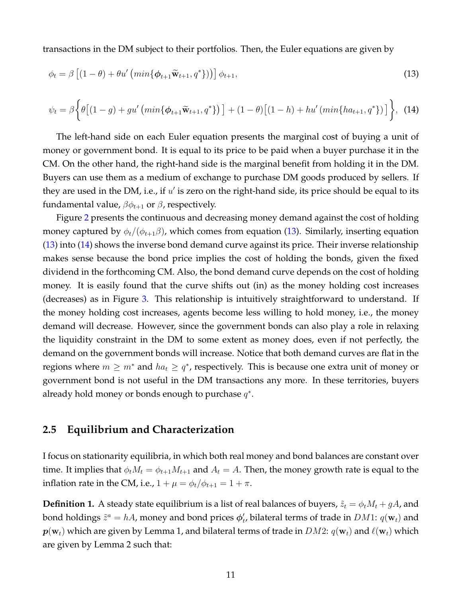transactions in the DM subject to their portfolios. Then, the Euler equations are given by

$$
\phi_t = \beta \left[ (1 - \theta) + \theta u' \left( \min \{ \phi_{t+1} \widetilde{\mathbf{w}}_{t+1}, q^* \} \right) \right] \phi_{t+1}, \tag{13}
$$

$$
\psi_t = \beta \Big\{ \theta \big[ (1-g) + gu' \left( \min \{ \phi_{t+1} \tilde{\mathbf{w}}_{t+1}, q^* \} \right) \big] + (1-\theta) \big[ (1-h) + hu' \left( \min \{ h a_{t+1}, q^* \} \right) \big] \Big\}, \tag{14}
$$

The left-hand side on each Euler equation presents the marginal cost of buying a unit of money or government bond. It is equal to its price to be paid when a buyer purchase it in the CM. On the other hand, the right-hand side is the marginal benefit from holding it in the DM. Buyers can use them as a medium of exchange to purchase DM goods produced by sellers. If they are used in the DM, i.e., if  $u'$  is zero on the right-hand side, its price should be equal to its fundamental value,  $\beta \phi_{t+1}$  or  $\beta$ , respectively.

Figure 2 presents the continuous and decreasing money demand against the cost of holding money captured by  $\phi_t/(\phi_{t+1}\beta)$ , which comes from equation (13). Similarly, inserting equation (13) into (14) shows the inverse bond demand curve against its price. Their inverse relationship makes sense because the bond price implies the cost of holding the bonds, given the fixed dividend in the forthcoming CM. Also, the bond demand curve depends on the cost of holding money. It is easily found that the curve shifts out (in) as the money holding cost increases (decreases) as in Figure 3. This relationship is intuitively straightforward to understand. If the money holding cost increases, agents become less willing to hold money, i.e., the money demand will decrease. However, since the government bonds can also play a role in relaxing the liquidity constraint in the DM to some extent as money does, even if not perfectly, the demand on the government bonds will increase. Notice that both demand curves are flat in the regions where  $m \geq m^*$  and  $ha_t \geq q^*$ , respectively. This is because one extra unit of money or government bond is not useful in the DM transactions any more. In these territories, buyers already hold money or bonds enough to purchase  $q^*$ .

#### **2.5 Equilibrium and Characterization**

I focus on stationarity equilibria, in which both real money and bond balances are constant over time. It implies that  $\phi_t M_t = \phi_{t+1} M_{t+1}$  and  $A_t = A$ . Then, the money growth rate is equal to the inflation rate in the CM, i.e.,  $1 + \mu = \phi_t / \phi_{t+1} = 1 + \pi$ .

**Definition 1.** A steady state equilibrium is a list of real balances of buyers,  $\tilde{z}_t = \phi_t M_t + gA$ , and bond holdings  $\tilde{z}^a = hA$ , money and bond prices  $\phi'_t$  $_t'$ , bilateral terms of trade in  $DM1: q(\mathbf{w}_t)$  and  $p(\mathbf{w}_t)$  which are given by Lemma 1, and bilateral terms of trade in  $DM2: q(\mathbf{w}_t)$  and  $\ell(\mathbf{w}_t)$  which are given by Lemma 2 such that: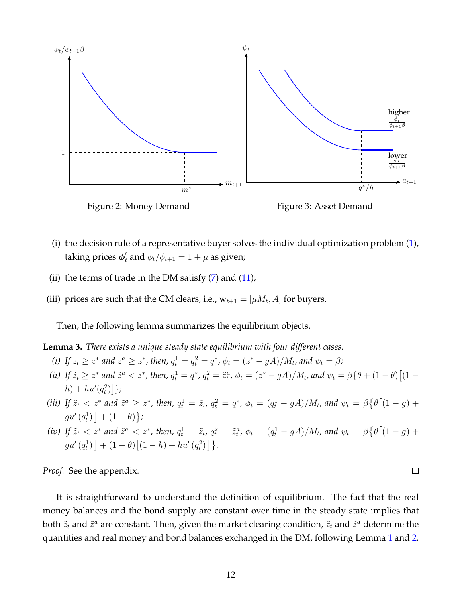

- (i) the decision rule of a representative buyer solves the individual optimization problem (1), taking prices  $\phi'_t$  and  $\phi_t/\phi_{t+1} = 1 + \mu$  as given;
- (ii) the terms of trade in the DM satisfy  $(7)$  and  $(11)$ ;
- (iii) prices are such that the CM clears, i.e.,  $\mathbf{w}_{t+1} = [\mu M_t, A]$  for buyers.

Then, the following lemma summarizes the equilibrium objects.

**Lemma 3.** *There exists a unique steady state equilibrium with four different cases.*

- *(i)* If  $\tilde{z}_t \ge z^*$  and  $\tilde{z}^a \ge z^*$ , then,  $q_t^1 = q_t^2 = q^*$ ,  $\phi_t = (z^* gA)/M_t$ , and  $\psi_t = \beta$ ;
- *(ii)* If  $\tilde{z}_t \geq z^*$  and  $\tilde{z}^a < z^*$ , then,  $q_t^1 = q^*$ ,  $q_t^2 = \tilde{z}_t^a$ ,  $\phi_t = (z^* gA)/M_t$ , and  $\psi_t = \beta \{ \theta + (1 \theta) \}$  $[ (1 \theta)^*]$  $(h) + hu'(q_t^2)$  $\begin{bmatrix} 2 \\ t \end{bmatrix}$ ;
- *(iii)* If  $\tilde{z}_t < z^*$  and  $\tilde{z}^a \geq z^*$ , then,  $q_t^1 = \tilde{z}_t$ ,  $q_t^2 = q^*$ ,  $\phi_t = (q_t^1 gA)/M_t$ , and  $\psi_t = \beta \{ \theta [(1 g) +$  $gu'(q_t^1) + (1 - \theta)$ ;
- *(iv)* If  $\tilde{z}_t < z^*$  and  $\tilde{z}^a < z^*$ , then,  $q_t^1 = \tilde{z}_t$ ,  $q_t^2 = \tilde{z}_t^a$ ,  $\phi_t = (q_t^1 gA)/M_t$ , and  $\psi_t = \beta \{\theta[(1 g) + gA]$  $gu'\left(q_t^1\right)$  $\left[ \begin{array}{c} (1-h) + hu' (q_t^2) \end{array} \right]$  $\begin{bmatrix} 2 \\ t \end{bmatrix}$ }.

*Proof.* See the appendix.

It is straightforward to understand the definition of equilibrium. The fact that the real money balances and the bond supply are constant over time in the steady state implies that both  $\tilde{z}_t$  and  $\tilde{z}^a$  are constant. Then, given the market clearing condition,  $\tilde{z}_t$  and  $\tilde{z}^a$  determine the quantities and real money and bond balances exchanged in the DM, following Lemma 1 and 2.

 $\Box$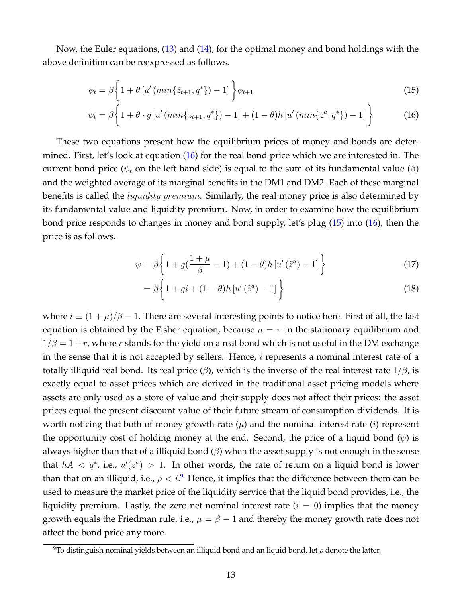Now, the Euler equations, (13) and (14), for the optimal money and bond holdings with the above definition can be reexpressed as follows.

$$
\phi_t = \beta \left\{ 1 + \theta \left[ u' \left( \min \{ \tilde{z}_{t+1}, q^* \} \right) - 1 \right] \right\} \phi_{t+1} \tag{15}
$$

$$
\psi_t = \beta \bigg\{ 1 + \theta \cdot g \left[ u' \left( \min \{ \tilde{z}_{t+1}, q^* \} \right) - 1 \right] + (1 - \theta) h \left[ u' \left( \min \{ \tilde{z}^a, q^* \} \right) - 1 \right] \bigg\}
$$
(16)

These two equations present how the equilibrium prices of money and bonds are determined. First, let's look at equation (16) for the real bond price which we are interested in. The current bond price ( $\psi_t$  on the left hand side) is equal to the sum of its fundamental value ( $\beta$ ) and the weighted average of its marginal benefits in the DM1 and DM2. Each of these marginal benefits is called the *liquidity premium*. Similarly, the real money price is also determined by its fundamental value and liquidity premium. Now, in order to examine how the equilibrium bond price responds to changes in money and bond supply, let's plug (15) into (16), then the price is as follows.

$$
\psi = \beta \left\{ 1 + g\left(\frac{1+\mu}{\beta} - 1\right) + (1-\theta)h\left[u'\left(\tilde{z}^a\right) - 1\right] \right\} \tag{17}
$$

$$
= \beta \left\{ 1 + gi + (1 - \theta)h \left[ u' \left( \tilde{z}^a \right) - 1 \right] \right\} \tag{18}
$$

where  $i \equiv (1 + \mu)/\beta - 1$ . There are several interesting points to notice here. First of all, the last equation is obtained by the Fisher equation, because  $\mu = \pi$  in the stationary equilibrium and  $1/\beta = 1 + r$ , where r stands for the yield on a real bond which is not useful in the DM exchange in the sense that it is not accepted by sellers. Hence, *i* represents a nominal interest rate of a totally illiquid real bond. Its real price  $(\beta)$ , which is the inverse of the real interest rate  $1/\beta$ , is exactly equal to asset prices which are derived in the traditional asset pricing models where assets are only used as a store of value and their supply does not affect their prices: the asset prices equal the present discount value of their future stream of consumption dividends. It is worth noticing that both of money growth rate  $(\mu)$  and the nominal interest rate (*i*) represent the opportunity cost of holding money at the end. Second, the price of a liquid bond  $(\psi)$  is always higher than that of a illiquid bond  $(\beta)$  when the asset supply is not enough in the sense that  $hA < q^*$ , i.e.,  $u'(\tilde{z}^a) > 1$ . In other words, the rate of return on a liquid bond is lower than that on an illiquid, i.e.,  $\rho < i.^9$  Hence, it implies that the difference between them can be used to measure the market price of the liquidity service that the liquid bond provides, i.e., the liquidity premium. Lastly, the zero net nominal interest rate  $(i = 0)$  implies that the money growth equals the Friedman rule, i.e.,  $\mu = \beta - 1$  and thereby the money growth rate does not affect the bond price any more.

<sup>&</sup>lt;sup>9</sup>To distinguish nominal yields between an illiquid bond and an liquid bond, let  $\rho$  denote the latter.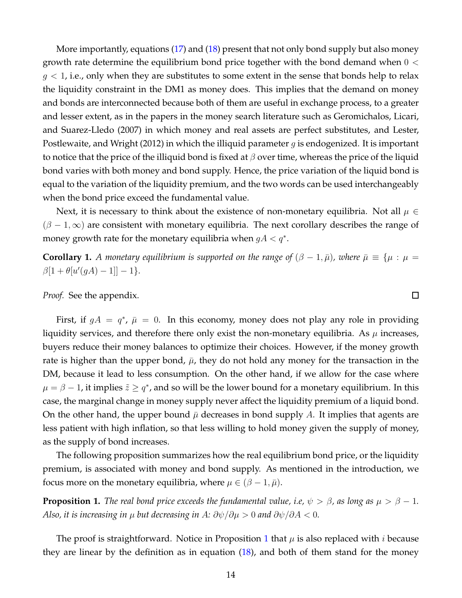More importantly, equations (17) and (18) present that not only bond supply but also money growth rate determine the equilibrium bond price together with the bond demand when  $0 <$  $g < 1$ , i.e., only when they are substitutes to some extent in the sense that bonds help to relax the liquidity constraint in the DM1 as money does. This implies that the demand on money and bonds are interconnected because both of them are useful in exchange process, to a greater and lesser extent, as in the papers in the money search literature such as Geromichalos, Licari, and Suarez-Lledo (2007) in which money and real assets are perfect substitutes, and Lester, Postlewaite, and Wright (2012) in which the illiquid parameter  $g$  is endogenized. It is important to notice that the price of the illiquid bond is fixed at  $\beta$  over time, whereas the price of the liquid bond varies with both money and bond supply. Hence, the price variation of the liquid bond is equal to the variation of the liquidity premium, and the two words can be used interchangeably when the bond price exceed the fundamental value.

Next, it is necessary to think about the existence of non-monetary equilibria. Not all  $\mu \in$  $(\beta - 1, \infty)$  are consistent with monetary equilibria. The next corollary describes the range of money growth rate for the monetary equilibria when  $gA < q^*$ .

**Corollary 1.** *A monetary equilibrium is supported on the range of*  $(\beta - 1, \bar{\mu})$ *, where*  $\bar{\mu} \equiv {\mu : \mu =$  $\beta[1 + \theta[u'(gA) - 1]] - 1$ }.

 $\Box$ 

*Proof.* See the appendix.

First, if  $gA = q^*$ ,  $\bar{\mu} = 0$ . In this economy, money does not play any role in providing liquidity services, and therefore there only exist the non-monetary equilibria. As  $\mu$  increases, buyers reduce their money balances to optimize their choices. However, if the money growth rate is higher than the upper bond,  $\bar{\mu}$ , they do not hold any money for the transaction in the DM, because it lead to less consumption. On the other hand, if we allow for the case where  $\mu = \beta - 1$ , it implies  $\tilde{z} \geq q^*$ , and so will be the lower bound for a monetary equilibrium. In this case, the marginal change in money supply never affect the liquidity premium of a liquid bond. On the other hand, the upper bound  $\bar{\mu}$  decreases in bond supply A. It implies that agents are less patient with high inflation, so that less willing to hold money given the supply of money, as the supply of bond increases.

The following proposition summarizes how the real equilibrium bond price, or the liquidity premium, is associated with money and bond supply. As mentioned in the introduction, we focus more on the monetary equilibria, where  $\mu \in (\beta - 1, \bar{\mu})$ .

**Proposition 1.** *The real bond price exceeds the fundamental value, i.e,*  $\psi > \beta$ , as long as  $\mu > \beta - 1$ . *Also, it is increasing in*  $\mu$  *but decreasing in*  $A$ *:*  $\partial \psi / \partial \mu > 0$  *and*  $\partial \psi / \partial A < 0$ *.* 

The proof is straightforward. Notice in Proposition 1 that  $\mu$  is also replaced with *i* because they are linear by the definition as in equation (18), and both of them stand for the money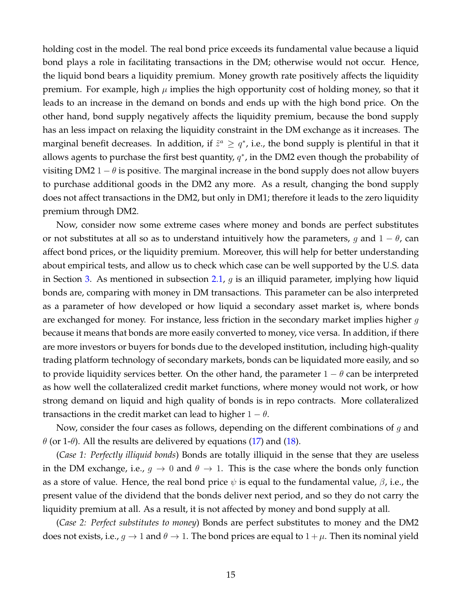holding cost in the model. The real bond price exceeds its fundamental value because a liquid bond plays a role in facilitating transactions in the DM; otherwise would not occur. Hence, the liquid bond bears a liquidity premium. Money growth rate positively affects the liquidity premium. For example, high  $\mu$  implies the high opportunity cost of holding money, so that it leads to an increase in the demand on bonds and ends up with the high bond price. On the other hand, bond supply negatively affects the liquidity premium, because the bond supply has an less impact on relaxing the liquidity constraint in the DM exchange as it increases. The marginal benefit decreases. In addition, if  $\tilde{z}^a \geq q^*$ , i.e., the bond supply is plentiful in that it allows agents to purchase the first best quantity,  $q^*$ , in the DM2 even though the probability of visiting DM2 1 –  $\theta$  is positive. The marginal increase in the bond supply does not allow buyers to purchase additional goods in the DM2 any more. As a result, changing the bond supply does not affect transactions in the DM2, but only in DM1; therefore it leads to the zero liquidity premium through DM2.

Now, consider now some extreme cases where money and bonds are perfect substitutes or not substitutes at all so as to understand intuitively how the parameters, g and  $1 - \theta$ , can affect bond prices, or the liquidity premium. Moreover, this will help for better understanding about empirical tests, and allow us to check which case can be well supported by the U.S. data in Section 3. As mentioned in subsection 2.1,  $g$  is an illiquid parameter, implying how liquid bonds are, comparing with money in DM transactions. This parameter can be also interpreted as a parameter of how developed or how liquid a secondary asset market is, where bonds are exchanged for money. For instance, less friction in the secondary market implies higher  $g$ because it means that bonds are more easily converted to money, vice versa. In addition, if there are more investors or buyers for bonds due to the developed institution, including high-quality trading platform technology of secondary markets, bonds can be liquidated more easily, and so to provide liquidity services better. On the other hand, the parameter  $1 - \theta$  can be interpreted as how well the collateralized credit market functions, where money would not work, or how strong demand on liquid and high quality of bonds is in repo contracts. More collateralized transactions in the credit market can lead to higher  $1 - \theta$ .

Now, consider the four cases as follows, depending on the different combinations of  $q$  and  $\theta$  (or 1- $\theta$ ). All the results are delivered by equations (17) and (18).

(*Case 1: Perfectly illiquid bonds*) Bonds are totally illiquid in the sense that they are useless in the DM exchange, i.e.,  $g \to 0$  and  $\theta \to 1$ . This is the case where the bonds only function as a store of value. Hence, the real bond price  $\psi$  is equal to the fundamental value,  $\beta$ , i.e., the present value of the dividend that the bonds deliver next period, and so they do not carry the liquidity premium at all. As a result, it is not affected by money and bond supply at all.

(*Case 2: Perfect substitutes to money*) Bonds are perfect substitutes to money and the DM2 does not exists, i.e.,  $g \to 1$  and  $\theta \to 1$ . The bond prices are equal to  $1 + \mu$ . Then its nominal yield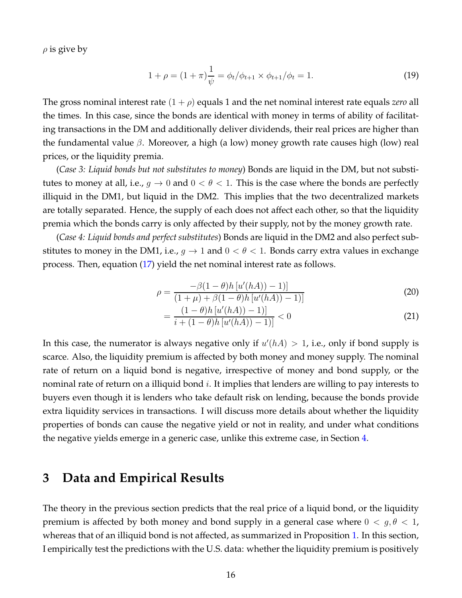$\rho$  is give by

$$
1 + \rho = (1 + \pi) \frac{1}{\psi} = \phi_t / \phi_{t+1} \times \phi_{t+1} / \phi_t = 1.
$$
 (19)

The gross nominal interest rate  $(1 + \rho)$  equals 1 and the net nominal interest rate equals *zero* all the times. In this case, since the bonds are identical with money in terms of ability of facilitating transactions in the DM and additionally deliver dividends, their real prices are higher than the fundamental value  $\beta$ . Moreover, a high (a low) money growth rate causes high (low) real prices, or the liquidity premia.

(*Case 3: Liquid bonds but not substitutes to money*) Bonds are liquid in the DM, but not substitutes to money at all, i.e.,  $g \to 0$  and  $0 < \theta < 1$ . This is the case where the bonds are perfectly illiquid in the DM1, but liquid in the DM2. This implies that the two decentralized markets are totally separated. Hence, the supply of each does not affect each other, so that the liquidity premia which the bonds carry is only affected by their supply, not by the money growth rate.

(*Case 4: Liquid bonds and perfect substitutes*) Bonds are liquid in the DM2 and also perfect substitutes to money in the DM1, i.e.,  $g \to 1$  and  $0 < \theta < 1$ . Bonds carry extra values in exchange process. Then, equation (17) yield the net nominal interest rate as follows.

$$
\rho = \frac{-\beta(1-\theta)h[u'(hA)) - 1]}{(1+\mu) + \beta(1-\theta)h[u'(hA)) - 1]}
$$
\n(20)

$$
=\frac{(1-\theta)h[u'(hA))-1]}{i+(1-\theta)h[u'(hA))-1]}<0
$$
\n(21)

In this case, the numerator is always negative only if  $u'(hA) > 1$ , i.e., only if bond supply is scarce. Also, the liquidity premium is affected by both money and money supply. The nominal rate of return on a liquid bond is negative, irrespective of money and bond supply, or the nominal rate of return on a illiquid bond  $i$ . It implies that lenders are willing to pay interests to buyers even though it is lenders who take default risk on lending, because the bonds provide extra liquidity services in transactions. I will discuss more details about whether the liquidity properties of bonds can cause the negative yield or not in reality, and under what conditions the negative yields emerge in a generic case, unlike this extreme case, in Section 4.

### **3 Data and Empirical Results**

The theory in the previous section predicts that the real price of a liquid bond, or the liquidity premium is affected by both money and bond supply in a general case where  $0 < g, \theta < 1$ , whereas that of an illiquid bond is not affected, as summarized in Proposition 1. In this section, I empirically test the predictions with the U.S. data: whether the liquidity premium is positively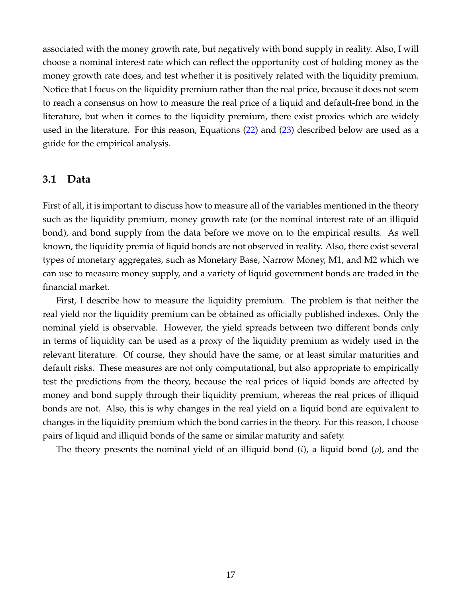associated with the money growth rate, but negatively with bond supply in reality. Also, I will choose a nominal interest rate which can reflect the opportunity cost of holding money as the money growth rate does, and test whether it is positively related with the liquidity premium. Notice that I focus on the liquidity premium rather than the real price, because it does not seem to reach a consensus on how to measure the real price of a liquid and default-free bond in the literature, but when it comes to the liquidity premium, there exist proxies which are widely used in the literature. For this reason, Equations (22) and (23) described below are used as a guide for the empirical analysis.

#### **3.1 Data**

First of all, it is important to discuss how to measure all of the variables mentioned in the theory such as the liquidity premium, money growth rate (or the nominal interest rate of an illiquid bond), and bond supply from the data before we move on to the empirical results. As well known, the liquidity premia of liquid bonds are not observed in reality. Also, there exist several types of monetary aggregates, such as Monetary Base, Narrow Money, M1, and M2 which we can use to measure money supply, and a variety of liquid government bonds are traded in the financial market.

First, I describe how to measure the liquidity premium. The problem is that neither the real yield nor the liquidity premium can be obtained as officially published indexes. Only the nominal yield is observable. However, the yield spreads between two different bonds only in terms of liquidity can be used as a proxy of the liquidity premium as widely used in the relevant literature. Of course, they should have the same, or at least similar maturities and default risks. These measures are not only computational, but also appropriate to empirically test the predictions from the theory, because the real prices of liquid bonds are affected by money and bond supply through their liquidity premium, whereas the real prices of illiquid bonds are not. Also, this is why changes in the real yield on a liquid bond are equivalent to changes in the liquidity premium which the bond carries in the theory. For this reason, I choose pairs of liquid and illiquid bonds of the same or similar maturity and safety.

The theory presents the nominal yield of an illiquid bond  $(i)$ , a liquid bond  $(\rho)$ , and the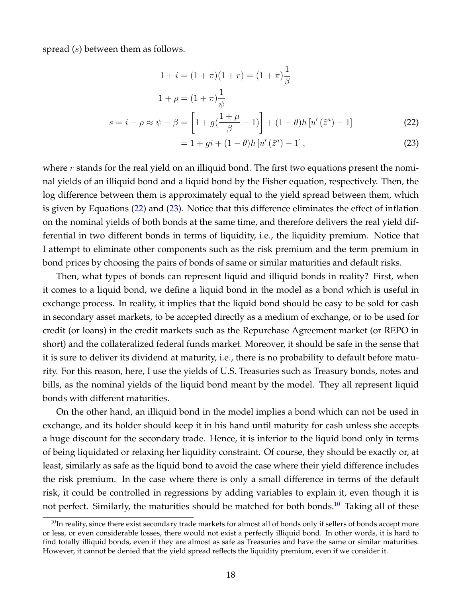spread  $(s)$  between them as follows.

$$
1 + i = (1 + \pi)(1 + r) = (1 + \pi)\frac{1}{\beta}
$$
  

$$
1 + \rho = (1 + \pi)\frac{1}{\psi}
$$
  

$$
s = i - \rho \approx \psi - \beta = \left[1 + g(\frac{1 + \mu}{\beta} - 1)\right] + (1 - \theta)h[u'(\tilde{z}^{a}) - 1]
$$
 (22)

$$
= 1 + gi + (1 - \theta)h [u'(\tilde{z}^a) - 1], \qquad (23)
$$

where  $r$  stands for the real yield on an illiquid bond. The first two equations present the nominal yields of an illiquid bond and a liquid bond by the Fisher equation, respectively. Then, the log difference between them is approximately equal to the yield spread between them, which is given by Equations (22) and (23). Notice that this difference eliminates the effect of inflation on the nominal yields of both bonds at the same time, and therefore delivers the real yield differential in two different bonds in terms of liquidity, i.e., the liquidity premium. Notice that I attempt to eliminate other components such as the risk premium and the term premium in bond prices by choosing the pairs of bonds of same or similar maturities and default risks.

Then, what types of bonds can represent liquid and illiquid bonds in reality? First, when it comes to a liquid bond, we define a liquid bond in the model as a bond which is useful in exchange process. In reality, it implies that the liquid bond should be easy to be sold for cash in secondary asset markets, to be accepted directly as a medium of exchange, or to be used for credit (or loans) in the credit markets such as the Repurchase Agreement market (or REPO in short) and the collateralized federal funds market. Moreover, it should be safe in the sense that it is sure to deliver its dividend at maturity, i.e., there is no probability to default before maturity. For this reason, here, I use the yields of U.S. Treasuries such as Treasury bonds, notes and bills, as the nominal yields of the liquid bond meant by the model. They all represent liquid bonds with different maturities.

On the other hand, an illiquid bond in the model implies a bond which can not be used in exchange, and its holder should keep it in his hand until maturity for cash unless she accepts a huge discount for the secondary trade. Hence, it is inferior to the liquid bond only in terms of being liquidated or relaxing her liquidity constraint. Of course, they should be exactly or, at least, similarly as safe as the liquid bond to avoid the case where their yield difference includes the risk premium. In the case where there is only a small difference in terms of the default risk, it could be controlled in regressions by adding variables to explain it, even though it is not perfect. Similarly, the maturities should be matched for both bonds.<sup>10</sup> Taking all of these

<sup>&</sup>lt;sup>10</sup>In reality, since there exist secondary trade markets for almost all of bonds only if sellers of bonds accept more or less, or even considerable losses, there would not exist a perfectly illiquid bond. In other words, it is hard to find totally illiquid bonds, even if they are almost as safe as Treasuries and have the same or similar maturities. However, it cannot be denied that the yield spread reflects the liquidity premium, even if we consider it.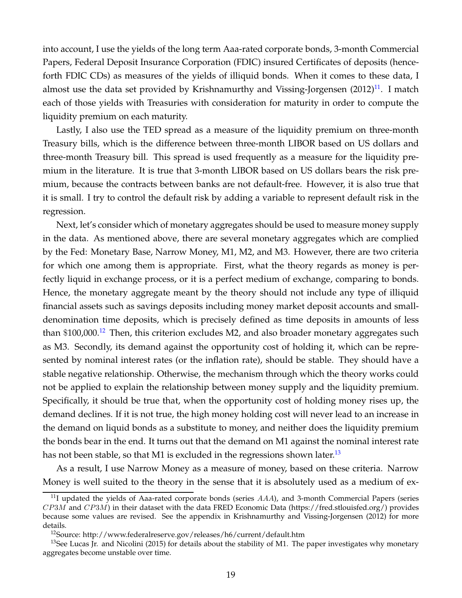into account, I use the yields of the long term Aaa-rated corporate bonds, 3-month Commercial Papers, Federal Deposit Insurance Corporation (FDIC) insured Certificates of deposits (henceforth FDIC CDs) as measures of the yields of illiquid bonds. When it comes to these data, I almost use the data set provided by Krishnamurthy and Vissing-Jorgensen  $(2012)^{11}$ . I match each of those yields with Treasuries with consideration for maturity in order to compute the liquidity premium on each maturity.

Lastly, I also use the TED spread as a measure of the liquidity premium on three-month Treasury bills, which is the difference between three-month LIBOR based on US dollars and three-month Treasury bill. This spread is used frequently as a measure for the liquidity premium in the literature. It is true that 3-month LIBOR based on US dollars bears the risk premium, because the contracts between banks are not default-free. However, it is also true that it is small. I try to control the default risk by adding a variable to represent default risk in the regression.

Next, let's consider which of monetary aggregates should be used to measure money supply in the data. As mentioned above, there are several monetary aggregates which are complied by the Fed: Monetary Base, Narrow Money, M1, M2, and M3. However, there are two criteria for which one among them is appropriate. First, what the theory regards as money is perfectly liquid in exchange process, or it is a perfect medium of exchange, comparing to bonds. Hence, the monetary aggregate meant by the theory should not include any type of illiquid financial assets such as savings deposits including money market deposit accounts and smalldenomination time deposits, which is precisely defined as time deposits in amounts of less than  $$100,000$ .<sup>12</sup> Then, this criterion excludes M2, and also broader monetary aggregates such as M3. Secondly, its demand against the opportunity cost of holding it, which can be represented by nominal interest rates (or the inflation rate), should be stable. They should have a stable negative relationship. Otherwise, the mechanism through which the theory works could not be applied to explain the relationship between money supply and the liquidity premium. Specifically, it should be true that, when the opportunity cost of holding money rises up, the demand declines. If it is not true, the high money holding cost will never lead to an increase in the demand on liquid bonds as a substitute to money, and neither does the liquidity premium the bonds bear in the end. It turns out that the demand on M1 against the nominal interest rate has not been stable, so that M1 is excluded in the regressions shown later.<sup>13</sup>

As a result, I use Narrow Money as a measure of money, based on these criteria. Narrow Money is well suited to the theory in the sense that it is absolutely used as a medium of ex-

 $^{11}$ I updated the yields of Aaa-rated corporate bonds (series  $AAA$ ), and 3-month Commercial Papers (series  $CP3M$  and  $CP3M$ ) in their dataset with the data FRED Economic Data (https://fred.stlouisfed.org/) provides because some values are revised. See the appendix in Krishnamurthy and Vissing-Jorgensen (2012) for more details.

<sup>&</sup>lt;sup>12</sup>Source: http://www.federalreserve.gov/releases/h6/current/default.htm

<sup>&</sup>lt;sup>13</sup>See Lucas Jr. and Nicolini (2015) for details about the stability of M1. The paper investigates why monetary aggregates become unstable over time.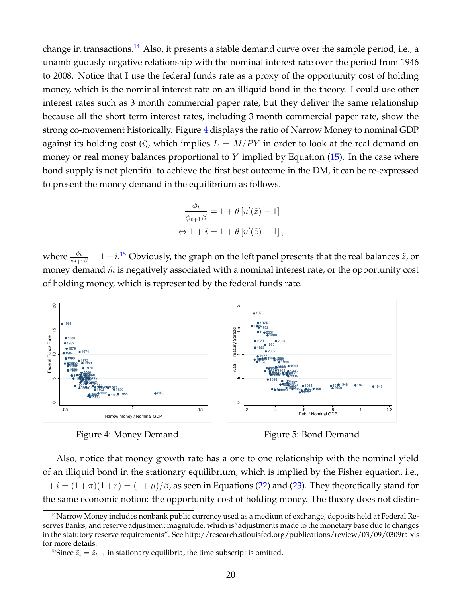change in transactions.<sup>14</sup> Also, it presents a stable demand curve over the sample period, i.e., a unambiguously negative relationship with the nominal interest rate over the period from 1946 to 2008. Notice that I use the federal funds rate as a proxy of the opportunity cost of holding money, which is the nominal interest rate on an illiquid bond in the theory. I could use other interest rates such as 3 month commercial paper rate, but they deliver the same relationship because all the short term interest rates, including 3 month commercial paper rate, show the strong co-movement historically. Figure 4 displays the ratio of Narrow Money to nominal GDP against its holding cost (*i*), which implies  $L = M/PY$  in order to look at the real demand on money or real money balances proportional to Y implied by Equation  $(15)$ . In the case where bond supply is not plentiful to achieve the first best outcome in the DM, it can be re-expressed to present the money demand in the equilibrium as follows.

$$
\frac{\phi_t}{\phi_{t+1}\beta} = 1 + \theta [u'(\tilde{z}) - 1]
$$

$$
\Leftrightarrow 1 + i = 1 + \theta [u'(\tilde{z}) - 1],
$$

where  $\frac{\phi_t}{\phi_{t+1}\beta}=1+i.^{15}$  Obviously, the graph on the left panel presents that the real balances  $\tilde{z}$ , or money demand  $\hat{m}$  is negatively associated with a nominal interest rate, or the opportunity cost of holding money, which is represented by the federal funds rate.



Figure 4: Money Demand

Figure 5: Bond Demand

Also, notice that money growth rate has a one to one relationship with the nominal yield of an illiquid bond in the stationary equilibrium, which is implied by the Fisher equation, i.e.,  $1+i = (1+\pi)(1+r) = (1+\mu)/\beta$ , as seen in Equations (22) and (23). They theoretically stand for the same economic notion: the opportunity cost of holding money. The theory does not distin-

Narrow Money includes nonbank public currency used as a medium of exchange, deposits held at Federal Reserves Banks, and reserve adjustment magnitude, which is"adjustments made to the monetary base due to changes in the statutory reserve requirements". See http://research.stlouisfed.org/publications/review/03/09/0309ra.xls for more details.

<sup>&</sup>lt;sup>15</sup>Since  $\tilde{z}_t = \tilde{z}_{t+1}$  in stationary equilibria, the time subscript is omitted.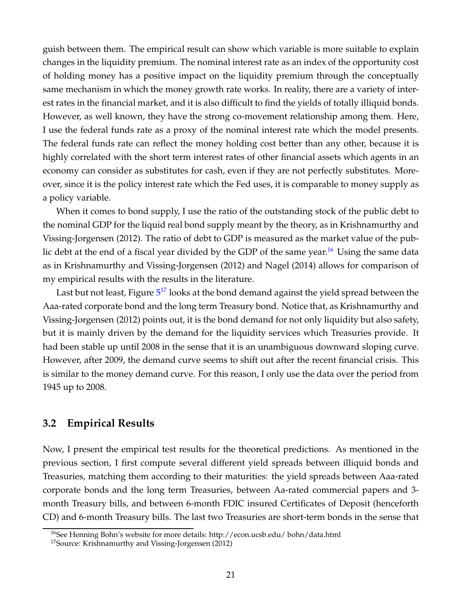guish between them. The empirical result can show which variable is more suitable to explain changes in the liquidity premium. The nominal interest rate as an index of the opportunity cost of holding money has a positive impact on the liquidity premium through the conceptually same mechanism in which the money growth rate works. In reality, there are a variety of interest rates in the financial market, and it is also difficult to find the yields of totally illiquid bonds. However, as well known, they have the strong co-movement relationship among them. Here, I use the federal funds rate as a proxy of the nominal interest rate which the model presents. The federal funds rate can reflect the money holding cost better than any other, because it is highly correlated with the short term interest rates of other financial assets which agents in an economy can consider as substitutes for cash, even if they are not perfectly substitutes. Moreover, since it is the policy interest rate which the Fed uses, it is comparable to money supply as a policy variable.

When it comes to bond supply, I use the ratio of the outstanding stock of the public debt to the nominal GDP for the liquid real bond supply meant by the theory, as in Krishnamurthy and Vissing-Jorgensen (2012). The ratio of debt to GDP is measured as the market value of the public debt at the end of a fiscal year divided by the GDP of the same year.<sup>16</sup> Using the same data as in Krishnamurthy and Vissing-Jorgensen (2012) and Nagel (2014) allows for comparison of my empirical results with the results in the literature.

Last but not least, Figure 5<sup>17</sup> looks at the bond demand against the yield spread between the Aaa-rated corporate bond and the long term Treasury bond. Notice that, as Krishnamurthy and Vissing-Jorgensen (2012) points out, it is the bond demand for not only liquidity but also safety, but it is mainly driven by the demand for the liquidity services which Treasuries provide. It had been stable up until 2008 in the sense that it is an unambiguous downward sloping curve. However, after 2009, the demand curve seems to shift out after the recent financial crisis. This is similar to the money demand curve. For this reason, I only use the data over the period from 1945 up to 2008.

#### **3.2 Empirical Results**

Now, I present the empirical test results for the theoretical predictions. As mentioned in the previous section, I first compute several different yield spreads between illiquid bonds and Treasuries, matching them according to their maturities: the yield spreads between Aaa-rated corporate bonds and the long term Treasuries, between Aa-rated commercial papers and 3 month Treasury bills, and between 6-month FDIC insured Certificates of Deposit (henceforth CD) and 6-month Treasury bills. The last two Treasuries are short-term bonds in the sense that

<sup>&</sup>lt;sup>16</sup>See Henning Bohn's website for more details: http://econ.ucsb.edu/ bohn/data.html

<sup>17</sup>Source: Krishnamurthy and Vissing-Jorgensen (2012)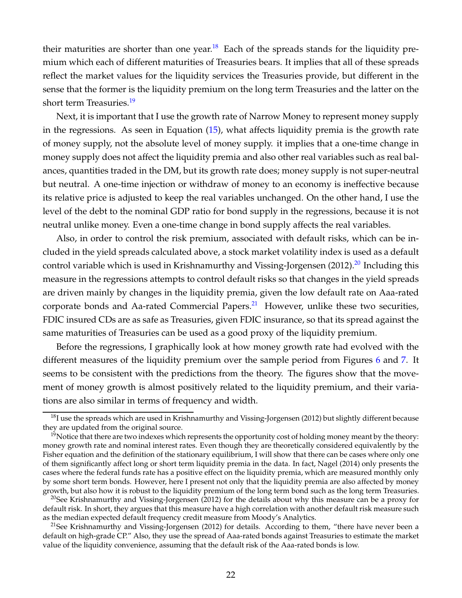their maturities are shorter than one year.<sup>18</sup> Each of the spreads stands for the liquidity premium which each of different maturities of Treasuries bears. It implies that all of these spreads reflect the market values for the liquidity services the Treasuries provide, but different in the sense that the former is the liquidity premium on the long term Treasuries and the latter on the short term Treasuries.<sup>19</sup>

Next, it is important that I use the growth rate of Narrow Money to represent money supply in the regressions. As seen in Equation (15), what affects liquidity premia is the growth rate of money supply, not the absolute level of money supply. it implies that a one-time change in money supply does not affect the liquidity premia and also other real variables such as real balances, quantities traded in the DM, but its growth rate does; money supply is not super-neutral but neutral. A one-time injection or withdraw of money to an economy is ineffective because its relative price is adjusted to keep the real variables unchanged. On the other hand, I use the level of the debt to the nominal GDP ratio for bond supply in the regressions, because it is not neutral unlike money. Even a one-time change in bond supply affects the real variables.

Also, in order to control the risk premium, associated with default risks, which can be included in the yield spreads calculated above, a stock market volatility index is used as a default control variable which is used in Krishnamurthy and Vissing-Jorgensen  $(2012).^{20}$  Including this measure in the regressions attempts to control default risks so that changes in the yield spreads are driven mainly by changes in the liquidity premia, given the low default rate on Aaa-rated corporate bonds and Aa-rated Commercial Papers. $^{21}$  However, unlike these two securities, FDIC insured CDs are as safe as Treasuries, given FDIC insurance, so that its spread against the same maturities of Treasuries can be used as a good proxy of the liquidity premium.

Before the regressions, I graphically look at how money growth rate had evolved with the different measures of the liquidity premium over the sample period from Figures 6 and 7. It seems to be consistent with the predictions from the theory. The figures show that the movement of money growth is almost positively related to the liquidity premium, and their variations are also similar in terms of frequency and width.

 $18$ I use the spreads which are used in Krishnamurthy and Vissing-Jorgensen (2012) but slightly different because they are updated from the original source.

 $19$ Notice that there are two indexes which represents the opportunity cost of holding money meant by the theory: money growth rate and nominal interest rates. Even though they are theoretically considered equivalently by the Fisher equation and the definition of the stationary equilibrium, I will show that there can be cases where only one of them significantly affect long or short term liquidity premia in the data. In fact, Nagel (2014) only presents the cases where the federal funds rate has a positive effect on the liquidity premia, which are measured monthly only by some short term bonds. However, here I present not only that the liquidity premia are also affected by money growth, but also how it is robust to the liquidity premium of the long term bond such as the long term Treasuries.

<sup>&</sup>lt;sup>20</sup>See Krishnamurthy and Vissing-Jorgensen (2012) for the details about why this measure can be a proxy for default risk. In short, they argues that this measure have a high correlation with another default risk measure such as the median expected default frequency credit measure from Moody's Analytics.

<sup>&</sup>lt;sup>21</sup>See Krishnamurthy and Vissing-Jorgensen (2012) for details. According to them, "there have never been a default on high-grade CP." Also, they use the spread of Aaa-rated bonds against Treasuries to estimate the market value of the liquidity convenience, assuming that the default risk of the Aaa-rated bonds is low.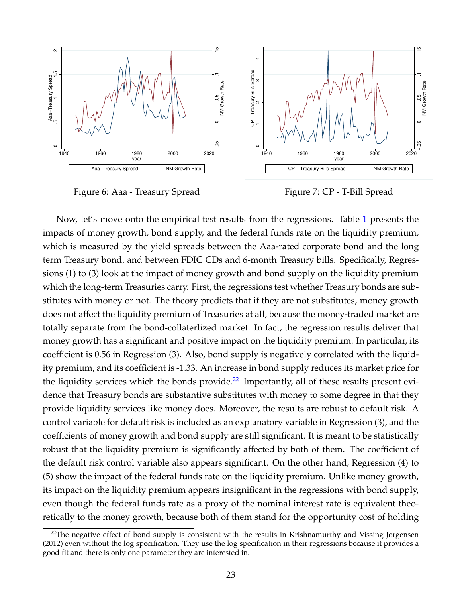

Figure 6: Aaa - Treasury Spread

Figure 7: CP - T-Bill Spread

Now, let's move onto the empirical test results from the regressions. Table 1 presents the impacts of money growth, bond supply, and the federal funds rate on the liquidity premium, which is measured by the yield spreads between the Aaa-rated corporate bond and the long term Treasury bond, and between FDIC CDs and 6-month Treasury bills. Specifically, Regressions (1) to (3) look at the impact of money growth and bond supply on the liquidity premium which the long-term Treasuries carry. First, the regressions test whether Treasury bonds are substitutes with money or not. The theory predicts that if they are not substitutes, money growth does not affect the liquidity premium of Treasuries at all, because the money-traded market are totally separate from the bond-collaterlized market. In fact, the regression results deliver that money growth has a significant and positive impact on the liquidity premium. In particular, its coefficient is 0.56 in Regression (3). Also, bond supply is negatively correlated with the liquidity premium, and its coefficient is -1.33. An increase in bond supply reduces its market price for the liquidity services which the bonds provide.<sup>22</sup> Importantly, all of these results present evidence that Treasury bonds are substantive substitutes with money to some degree in that they provide liquidity services like money does. Moreover, the results are robust to default risk. A control variable for default risk is included as an explanatory variable in Regression (3), and the coefficients of money growth and bond supply are still significant. It is meant to be statistically robust that the liquidity premium is significantly affected by both of them. The coefficient of the default risk control variable also appears significant. On the other hand, Regression (4) to (5) show the impact of the federal funds rate on the liquidity premium. Unlike money growth, its impact on the liquidity premium appears insignificant in the regressions with bond supply, even though the federal funds rate as a proxy of the nominal interest rate is equivalent theoretically to the money growth, because both of them stand for the opportunity cost of holding

<sup>&</sup>lt;sup>22</sup>The negative effect of bond supply is consistent with the results in Krishnamurthy and Vissing-Jorgensen (2012) even without the log specification. They use the log specification in their regressions because it provides a good fit and there is only one parameter they are interested in.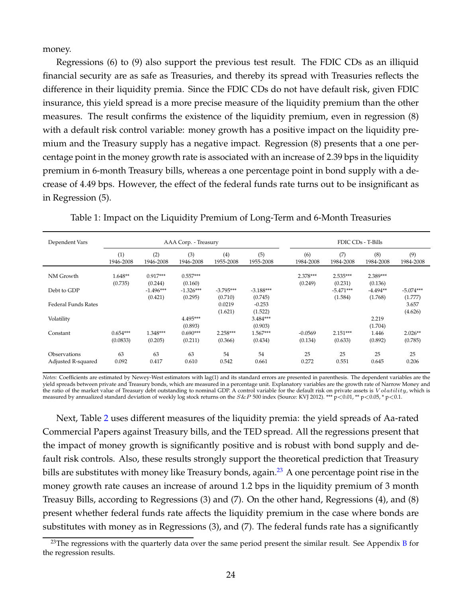money.

Regressions (6) to (9) also support the previous test result. The FDIC CDs as an illiquid financial security are as safe as Treasuries, and thereby its spread with Treasuries reflects the difference in their liquidity premia. Since the FDIC CDs do not have default risk, given FDIC insurance, this yield spread is a more precise measure of the liquidity premium than the other measures. The result confirms the existence of the liquidity premium, even in regression (8) with a default risk control variable: money growth has a positive impact on the liquidity premium and the Treasury supply has a negative impact. Regression (8) presents that a one percentage point in the money growth rate is associated with an increase of 2.39 bps in the liquidity premium in 6-month Treasury bills, whereas a one percentage point in bond supply with a decrease of 4.49 bps. However, the effect of the federal funds rate turns out to be insignificant as in Regression (5).

| Dependent Vars             | AAA Corp. - Treasury   |                                   |                                   |                        |                        | FDIC CDs - T-Bills   |                                   |                                  |                        |
|----------------------------|------------------------|-----------------------------------|-----------------------------------|------------------------|------------------------|----------------------|-----------------------------------|----------------------------------|------------------------|
|                            | (1)<br>1946-2008       | (2)<br>1946-2008                  | (3)<br>1946-2008                  | (4)<br>1955-2008       | (5)<br>1955-2008       | (6)<br>1984-2008     | (7)<br>1984-2008                  | (8)<br>1984-2008                 | (9)<br>1984-2008       |
| NM Growth                  | $1.648**$              | $0.917***$                        | $0.557***$                        |                        |                        | $2.378***$           | $2.535***$                        | 2.389***                         |                        |
| Debt to GDP                | (0.735)                | (0.244)<br>$-1.496***$<br>(0.421) | (0.160)<br>$-1.326***$<br>(0.295) | $-3.795***$<br>(0.710) | $-3.188***$<br>(0.745) | (0.249)              | (0.231)<br>$-5.471***$<br>(1.584) | (0.136)<br>$-4.494**$<br>(1.768) | $-5.074***$<br>(1.777) |
| <b>Federal Funds Rates</b> |                        |                                   |                                   | 0.0219<br>(1.621)      | $-0.253$<br>(1.522)    |                      |                                   |                                  | 3.657<br>(4.626)       |
| Volatility                 |                        |                                   | 4.495***<br>(0.893)               |                        | $3.484***$<br>(0.903)  |                      |                                   | 2.219<br>(1.704)                 |                        |
| Constant                   | $0.654***$<br>(0.0833) | 1.348***<br>(0.205)               | $0.690***$<br>(0.211)             | $2.258***$<br>(0.366)  | $1.567***$<br>(0.434)  | $-0.0569$<br>(0.134) | $2.151***$<br>(0.633)             | 1.446<br>(0.892)                 | $2.026**$<br>(0.785)   |
| Observations               | 63                     | 63                                | 63                                | 54                     | 54                     | 25                   | 25                                | 25                               | 25                     |
| Adjusted R-squared         | 0.092                  | 0.417                             | 0.610                             | 0.542                  | 0.661                  | 0.272                | 0.551                             | 0.645                            | 0.206                  |

Table 1: Impact on the Liquidity Premium of Long-Term and 6-Month Treasuries

*Notes:* Coefficients are estimated by Newey-West estimators with lag(1) and its standard errors are presented in parenthesis. The dependent variables are the yield spreads between private and Treasury bonds, which are measured in a percentage unit. Explanatory variables are the growth rate of Narrow Money and the ratio of the market value of Treasury debt outstanding to nominal GDP. A control variable for the default risk on private assets is Volatility, which is measured by annualized standard deviation of weekly log stock returns on the  $S\&P$  500 index (Source: KVJ 2012). \*\*\*  $p<0.01$ , \*\*  $p<0.05$ , \*  $p<0.1$ .

Next, Table 2 uses different measures of the liquidity premia: the yield spreads of Aa-rated Commercial Papers against Treasury bills, and the TED spread. All the regressions present that the impact of money growth is significantly positive and is robust with bond supply and default risk controls. Also, these results strongly support the theoretical prediction that Treasury bills are substitutes with money like Treasury bonds, again.<sup>23</sup> A one percentage point rise in the money growth rate causes an increase of around 1.2 bps in the liquidity premium of 3 month Treasuy Bills, according to Regressions (3) and (7). On the other hand, Regressions (4), and (8) present whether federal funds rate affects the liquidity premium in the case where bonds are substitutes with money as in Regressions (3), and (7). The federal funds rate has a significantly

 $23$ The regressions with the quarterly data over the same period present the similar result. See Appendix B for the regression results.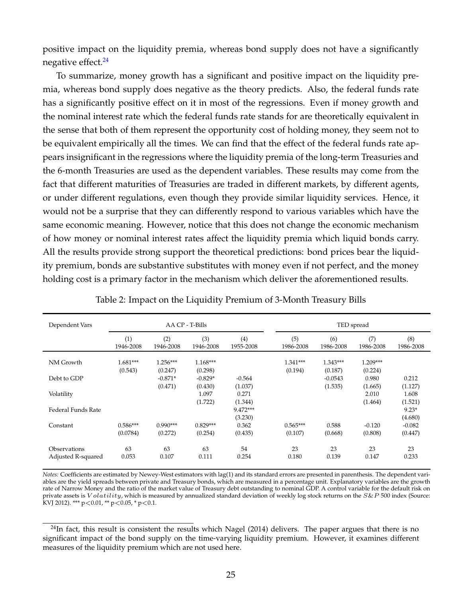positive impact on the liquidity premia, whereas bond supply does not have a significantly negative effect.<sup>24</sup>

To summarize, money growth has a significant and positive impact on the liquidity premia, whereas bond supply does negative as the theory predicts. Also, the federal funds rate has a significantly positive effect on it in most of the regressions. Even if money growth and the nominal interest rate which the federal funds rate stands for are theoretically equivalent in the sense that both of them represent the opportunity cost of holding money, they seem not to be equivalent empirically all the times. We can find that the effect of the federal funds rate appears insignificant in the regressions where the liquidity premia of the long-term Treasuries and the 6-month Treasuries are used as the dependent variables. These results may come from the fact that different maturities of Treasuries are traded in different markets, by different agents, or under different regulations, even though they provide similar liquidity services. Hence, it would not be a surprise that they can differently respond to various variables which have the same economic meaning. However, notice that this does not change the economic mechanism of how money or nominal interest rates affect the liquidity premia which liquid bonds carry. All the results provide strong support the theoretical predictions: bond prices bear the liquidity premium, bonds are substantive substitutes with money even if not perfect, and the money holding cost is a primary factor in the mechanism which deliver the aforementioned results.

| Dependent Vars     | AA CP - T-Bills  |                  |                  |                  | TED spread       |                  |                  |                  |  |
|--------------------|------------------|------------------|------------------|------------------|------------------|------------------|------------------|------------------|--|
|                    | (1)<br>1946-2008 | (2)<br>1946-2008 | (3)<br>1946-2008 | (4)<br>1955-2008 | (5)<br>1986-2008 | (6)<br>1986-2008 | (7)<br>1986-2008 | (8)<br>1986-2008 |  |
| NM Growth          | $1.681***$       | $1.256***$       | $1.168***$       |                  | $1.341***$       | $1.343***$       | $1.209***$       |                  |  |
|                    | (0.543)          | (0.247)          | (0.298)          |                  | (0.194)          | (0.187)          | (0.224)          |                  |  |
| Debt to GDP        |                  | $-0.871*$        | $-0.829*$        | $-0.564$         |                  | $-0.0543$        | 0.980            | 0.212            |  |
|                    |                  | (0.471)          | (0.430)          | (1.037)          |                  | (1.535)          | (1.665)          | (1.127)          |  |
| Volatility         |                  |                  | 1.097            | 0.271            |                  |                  | 2.010            | 1.608            |  |
|                    |                  |                  | (1.722)          | (1.344)          |                  |                  | (1.464)          | (1.521)          |  |
| Federal Funds Rate |                  |                  |                  | 9.472***         |                  |                  |                  | $9.23*$          |  |
|                    |                  |                  |                  | (3.230)          |                  |                  |                  | (4.680)          |  |
| Constant           | $0.586***$       | $0.990***$       | $0.829***$       | 0.362            | $0.565***$       | 0.588            | $-0.120$         | $-0.082$         |  |
|                    | (0.0784)         | (0.272)          | (0.254)          | (0.435)          | (0.107)          | (0.668)          | (0.808)          | (0.447)          |  |
| Observations       | 63               | 63               | 63               | 54               | 23               | 23               | 23               | 23               |  |
| Adjusted R-squared | 0.053            | 0.107            | 0.111            | 0.254            | 0.180            | 0.139            | 0.147            | 0.233            |  |

Table 2: Impact on the Liquidity Premium of 3-Month Treasury Bills

*Notes:* Coefficients are estimated by Newey-West estimators with lag(1) and its standard errors are presented in parenthesis. The dependent variables are the yield spreads between private and Treasury bonds, which are measured in a percentage unit. Explanatory variables are the growth rate of Narrow Money and the ratio of the market value of Treasury debt outstanding to nominal GDP. A control variable for the default risk on private assets is  $Volatility$ , which is measured by annualized standard deviation of weekly log stock returns on the  $S\&P$  500 index (Source: KVJ 2012). \*\*\* p<0.01, \*\* p<0.05, \* p<0.1.

 $^{24}$ In fact, this result is consistent the results which Nagel (2014) delivers. The paper argues that there is no significant impact of the bond supply on the time-varying liquidity premium. However, it examines different measures of the liquidity premium which are not used here.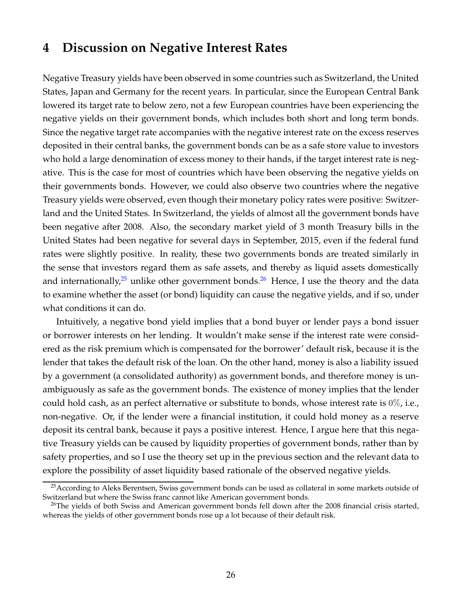### **4 Discussion on Negative Interest Rates**

Negative Treasury yields have been observed in some countries such as Switzerland, the United States, Japan and Germany for the recent years. In particular, since the European Central Bank lowered its target rate to below zero, not a few European countries have been experiencing the negative yields on their government bonds, which includes both short and long term bonds. Since the negative target rate accompanies with the negative interest rate on the excess reserves deposited in their central banks, the government bonds can be as a safe store value to investors who hold a large denomination of excess money to their hands, if the target interest rate is negative. This is the case for most of countries which have been observing the negative yields on their governments bonds. However, we could also observe two countries where the negative Treasury yields were observed, even though their monetary policy rates were positive: Switzerland and the United States. In Switzerland, the yields of almost all the government bonds have been negative after 2008. Also, the secondary market yield of 3 month Treasury bills in the United States had been negative for several days in September, 2015, even if the federal fund rates were slightly positive. In reality, these two governments bonds are treated similarly in the sense that investors regard them as safe assets, and thereby as liquid assets domestically and internationally,<sup>25</sup> unlike other government bonds.<sup>26</sup> Hence, I use the theory and the data to examine whether the asset (or bond) liquidity can cause the negative yields, and if so, under what conditions it can do.

Intuitively, a negative bond yield implies that a bond buyer or lender pays a bond issuer or borrower interests on her lending. It wouldn't make sense if the interest rate were considered as the risk premium which is compensated for the borrower' default risk, because it is the lender that takes the default risk of the loan. On the other hand, money is also a liability issued by a government (a consolidated authority) as government bonds, and therefore money is unambiguously as safe as the government bonds. The existence of money implies that the lender could hold cash, as an perfect alternative or substitute to bonds, whose interest rate is  $0\%$ , i.e., non-negative. Or, if the lender were a financial institution, it could hold money as a reserve deposit its central bank, because it pays a positive interest. Hence, I argue here that this negative Treasury yields can be caused by liquidity properties of government bonds, rather than by safety properties, and so I use the theory set up in the previous section and the relevant data to explore the possibility of asset liquidity based rationale of the observed negative yields.

<sup>&</sup>lt;sup>25</sup> According to Aleks Berentsen, Swiss government bonds can be used as collateral in some markets outside of Switzerland but where the Swiss franc cannot like American government bonds.

<sup>&</sup>lt;sup>26</sup>The yields of both Swiss and American government bonds fell down after the 2008 financial crisis started, whereas the yields of other government bonds rose up a lot because of their default risk.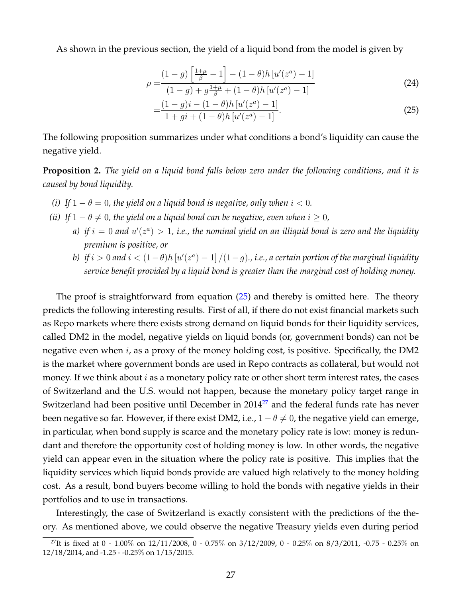As shown in the previous section, the yield of a liquid bond from the model is given by

$$
\rho = \frac{(1-g)\left[\frac{1+\mu}{\beta} - 1\right] - (1-\theta)h\left[u'(z^a) - 1\right]}{(1-g) + g\frac{1+\mu}{\beta} + (1-\theta)h\left[u'(z^a) - 1\right]}
$$
\n(24)

$$
=\frac{(1-g)i - (1-\theta)h [u'(z^a) - 1]}{1+gi + (1-\theta)h [u'(z^a) - 1]}.
$$
\n(25)

The following proposition summarizes under what conditions a bond's liquidity can cause the negative yield.

**Proposition 2.** *The yield on a liquid bond falls below zero under the following conditions, and it is caused by bond liquidity.*

- *(i)* If  $1 \theta = 0$ , the yield on a liquid bond is negative, only when  $i < 0$ .
- *(ii)* If  $1 \theta \neq 0$ , the yield on a liquid bond can be negative, even when  $i \geq 0$ ,
	- a) if  $i = 0$  and  $u'(z^a) > 1$ , i.e., the nominal yield on an illiquid bond is zero and the liquidity *premium is positive, or*
	- *b*) if  $i > 0$  and  $i < (1 \theta)h$   $[u'(z^a) 1] / (1 g)$ ., i.e., a certain portion of the marginal liquidity *service benefit provided by a liquid bond is greater than the marginal cost of holding money.*

The proof is straightforward from equation (25) and thereby is omitted here. The theory predicts the following interesting results. First of all, if there do not exist financial markets such as Repo markets where there exists strong demand on liquid bonds for their liquidity services, called DM2 in the model, negative yields on liquid bonds (or, government bonds) can not be negative even when  $i$ , as a proxy of the money holding cost, is positive. Specifically, the DM2 is the market where government bonds are used in Repo contracts as collateral, but would not money. If we think about  $i$  as a monetary policy rate or other short term interest rates, the cases of Switzerland and the U.S. would not happen, because the monetary policy target range in Switzerland had been positive until December in 2014<sup>27</sup> and the federal funds rate has never been negative so far. However, if there exist DM2, i.e.,  $1 - \theta \neq 0$ , the negative yield can emerge, in particular, when bond supply is scarce and the monetary policy rate is low: money is redundant and therefore the opportunity cost of holding money is low. In other words, the negative yield can appear even in the situation where the policy rate is positive. This implies that the liquidity services which liquid bonds provide are valued high relatively to the money holding cost. As a result, bond buyers become willing to hold the bonds with negative yields in their portfolios and to use in transactions.

Interestingly, the case of Switzerland is exactly consistent with the predictions of the theory. As mentioned above, we could observe the negative Treasury yields even during period

<sup>&</sup>lt;sup>27</sup>It is fixed at 0 - 1.00% on 12/11/2008, 0 - 0.75% on 3/12/2009, 0 - 0.25% on 8/3/2011, -0.75 - 0.25% on 12/18/2014, and -1.25 - -0.25% on 1/15/2015.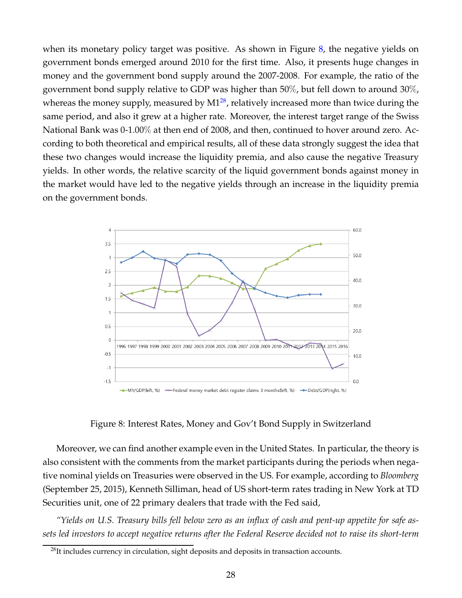when its monetary policy target was positive. As shown in Figure  $\delta$ , the negative yields on government bonds emerged around 2010 for the first time. Also, it presents huge changes in money and the government bond supply around the 2007-2008. For example, the ratio of the government bond supply relative to GDP was higher than 50%, but fell down to around 30%, whereas the money supply, measured by  $M1^{28}$ , relatively increased more than twice during the same period, and also it grew at a higher rate. Moreover, the interest target range of the Swiss National Bank was 0-1.00% at then end of 2008, and then, continued to hover around zero. According to both theoretical and empirical results, all of these data strongly suggest the idea that these two changes would increase the liquidity premia, and also cause the negative Treasury yields. In other words, the relative scarcity of the liquid government bonds against money in the market would have led to the negative yields through an increase in the liquidity premia on the government bonds.



Figure 8: Interest Rates, Money and Gov't Bond Supply in Switzerland

Moreover, we can find another example even in the United States. In particular, the theory is also consistent with the comments from the market participants during the periods when negative nominal yields on Treasuries were observed in the US. For example, according to *Bloomberg* (September 25, 2015), Kenneth Silliman, head of US short-term rates trading in New York at TD Securities unit, one of 22 primary dealers that trade with the Fed said,

*"Yields on U.S. Treasury bills fell below zero as an influx of cash and pent-up appetite for safe assets led investors to accept negative returns after the Federal Reserve decided not to raise its short-term*

 $^{28}$ It includes currency in circulation, sight deposits and deposits in transaction accounts.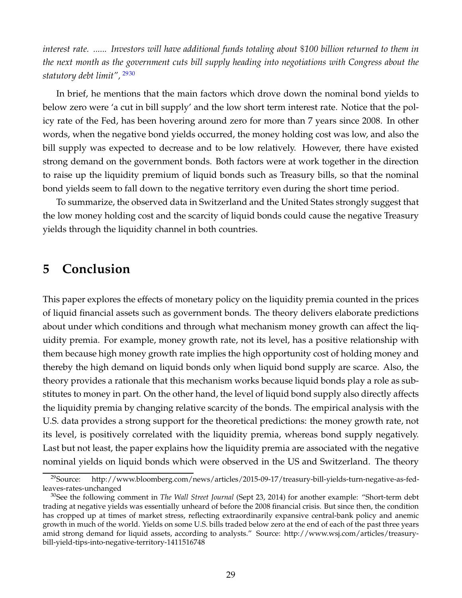*interest rate. ...... Investors will have additional funds totaling about* \$*100 billion returned to them in the next month as the government cuts bill supply heading into negotiations with Congress about the statutory debt limit",* <sup>2930</sup>

In brief, he mentions that the main factors which drove down the nominal bond yields to below zero were 'a cut in bill supply' and the low short term interest rate. Notice that the policy rate of the Fed, has been hovering around zero for more than 7 years since 2008. In other words, when the negative bond yields occurred, the money holding cost was low, and also the bill supply was expected to decrease and to be low relatively. However, there have existed strong demand on the government bonds. Both factors were at work together in the direction to raise up the liquidity premium of liquid bonds such as Treasury bills, so that the nominal bond yields seem to fall down to the negative territory even during the short time period.

To summarize, the observed data in Switzerland and the United States strongly suggest that the low money holding cost and the scarcity of liquid bonds could cause the negative Treasury yields through the liquidity channel in both countries.

### **5 Conclusion**

This paper explores the effects of monetary policy on the liquidity premia counted in the prices of liquid financial assets such as government bonds. The theory delivers elaborate predictions about under which conditions and through what mechanism money growth can affect the liquidity premia. For example, money growth rate, not its level, has a positive relationship with them because high money growth rate implies the high opportunity cost of holding money and thereby the high demand on liquid bonds only when liquid bond supply are scarce. Also, the theory provides a rationale that this mechanism works because liquid bonds play a role as substitutes to money in part. On the other hand, the level of liquid bond supply also directly affects the liquidity premia by changing relative scarcity of the bonds. The empirical analysis with the U.S. data provides a strong support for the theoretical predictions: the money growth rate, not its level, is positively correlated with the liquidity premia, whereas bond supply negatively. Last but not least, the paper explains how the liquidity premia are associated with the negative nominal yields on liquid bonds which were observed in the US and Switzerland. The theory

<sup>29</sup>Source: http://www.bloomberg.com/news/articles/2015-09-17/treasury-bill-yields-turn-negative-as-fedleaves-rates-unchanged

<sup>30</sup>See the following comment in *The Wall Street Journal* (Sept 23, 2014) for another example: "Short-term debt trading at negative yields was essentially unheard of before the 2008 financial crisis. But since then, the condition has cropped up at times of market stress, reflecting extraordinarily expansive central-bank policy and anemic growth in much of the world. Yields on some U.S. bills traded below zero at the end of each of the past three years amid strong demand for liquid assets, according to analysts." Source: http://www.wsj.com/articles/treasurybill-yield-tips-into-negative-territory-1411516748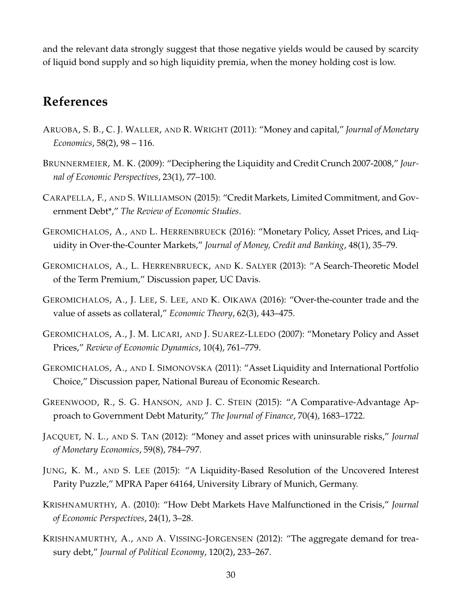and the relevant data strongly suggest that those negative yields would be caused by scarcity of liquid bond supply and so high liquidity premia, when the money holding cost is low.

### **References**

- ARUOBA, S. B., C. J. WALLER, AND R. WRIGHT (2011): "Money and capital," *Journal of Monetary Economics*, 58(2), 98 – 116.
- BRUNNERMEIER, M. K. (2009): "Deciphering the Liquidity and Credit Crunch 2007-2008," *Journal of Economic Perspectives*, 23(1), 77–100.
- CARAPELLA, F., AND S. WILLIAMSON (2015): "Credit Markets, Limited Commitment, and Government Debt\*," *The Review of Economic Studies*.
- GEROMICHALOS, A., AND L. HERRENBRUECK (2016): "Monetary Policy, Asset Prices, and Liquidity in Over-the-Counter Markets," *Journal of Money, Credit and Banking*, 48(1), 35–79.
- GEROMICHALOS, A., L. HERRENBRUECK, AND K. SALYER (2013): "A Search-Theoretic Model of the Term Premium," Discussion paper, UC Davis.
- GEROMICHALOS, A., J. LEE, S. LEE, AND K. OIKAWA (2016): "Over-the-counter trade and the value of assets as collateral," *Economic Theory*, 62(3), 443–475.
- GEROMICHALOS, A., J. M. LICARI, AND J. SUAREZ-LLEDO (2007): "Monetary Policy and Asset Prices," *Review of Economic Dynamics*, 10(4), 761–779.
- GEROMICHALOS, A., AND I. SIMONOVSKA (2011): "Asset Liquidity and International Portfolio Choice," Discussion paper, National Bureau of Economic Research.
- GREENWOOD, R., S. G. HANSON, AND J. C. STEIN (2015): "A Comparative-Advantage Approach to Government Debt Maturity," *The Journal of Finance*, 70(4), 1683–1722.
- JACQUET, N. L., AND S. TAN (2012): "Money and asset prices with uninsurable risks," *Journal of Monetary Economics*, 59(8), 784–797.
- JUNG, K. M., AND S. LEE (2015): "A Liquidity-Based Resolution of the Uncovered Interest Parity Puzzle," MPRA Paper 64164, University Library of Munich, Germany.
- KRISHNAMURTHY, A. (2010): "How Debt Markets Have Malfunctioned in the Crisis," *Journal of Economic Perspectives*, 24(1), 3–28.
- KRISHNAMURTHY, A., AND A. VISSING-JORGENSEN (2012): "The aggregate demand for treasury debt," *Journal of Political Economy*, 120(2), 233–267.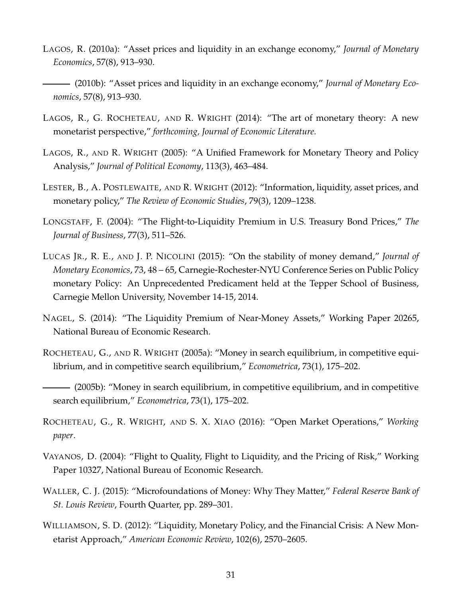- LAGOS, R. (2010a): "Asset prices and liquidity in an exchange economy," *Journal of Monetary Economics*, 57(8), 913–930.
- (2010b): "Asset prices and liquidity in an exchange economy," *Journal of Monetary Economics*, 57(8), 913–930.
- LAGOS, R., G. ROCHETEAU, AND R. WRIGHT (2014): "The art of monetary theory: A new monetarist perspective," *forthcoming, Journal of Economic Literature*.
- LAGOS, R., AND R. WRIGHT (2005): "A Unified Framework for Monetary Theory and Policy Analysis," *Journal of Political Economy*, 113(3), 463–484.
- LESTER, B., A. POSTLEWAITE, AND R. WRIGHT (2012): "Information, liquidity, asset prices, and monetary policy," *The Review of Economic Studies*, 79(3), 1209–1238.
- LONGSTAFF, F. (2004): "The Flight-to-Liquidity Premium in U.S. Treasury Bond Prices," *The Journal of Business*, 77(3), 511–526.
- LUCAS JR., R. E., AND J. P. NICOLINI (2015): "On the stability of money demand," *Journal of Monetary Economics*, 73, 48 – 65, Carnegie-Rochester-NYU Conference Series on Public Policy monetary Policy: An Unprecedented Predicament held at the Tepper School of Business, Carnegie Mellon University, November 14-15, 2014.
- NAGEL, S. (2014): "The Liquidity Premium of Near-Money Assets," Working Paper 20265, National Bureau of Economic Research.
- ROCHETEAU, G., AND R. WRIGHT (2005a): "Money in search equilibrium, in competitive equilibrium, and in competitive search equilibrium," *Econometrica*, 73(1), 175–202.
- (2005b): "Money in search equilibrium, in competitive equilibrium, and in competitive search equilibrium," *Econometrica*, 73(1), 175–202.
- ROCHETEAU, G., R. WRIGHT, AND S. X. XIAO (2016): "Open Market Operations," *Working paper*.
- VAYANOS, D. (2004): "Flight to Quality, Flight to Liquidity, and the Pricing of Risk," Working Paper 10327, National Bureau of Economic Research.
- WALLER, C. J. (2015): "Microfoundations of Money: Why They Matter," *Federal Reserve Bank of St. Louis Review*, Fourth Quarter, pp. 289–301.
- WILLIAMSON, S. D. (2012): "Liquidity, Monetary Policy, and the Financial Crisis: A New Monetarist Approach," *American Economic Review*, 102(6), 2570–2605.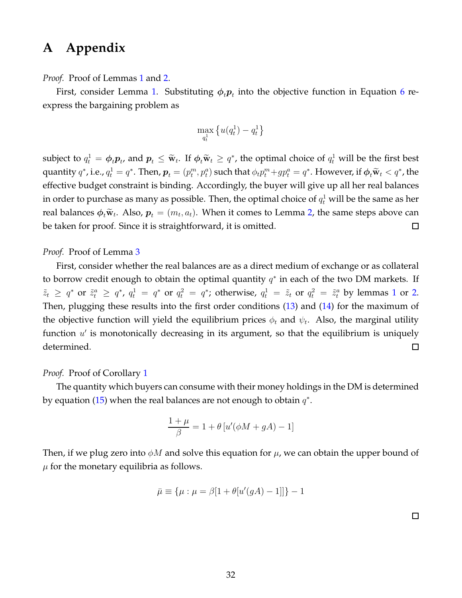## **A Appendix**

*Proof.* Proof of Lemmas 1 and 2.

First, consider Lemma 1. Substituting  $\phi_t\boldsymbol{p}_t$  into the objective function in Equation 6 reexpress the bargaining problem as

$$
\max_{q_t^1}\left\{u(q_t^1)-q_t^1\right\}
$$

subject to  $q_t^1 = \phi_t p_t$ , and  $p_t \leq \tilde{w}_t$ . If  $\phi_t \tilde{w}_t \geq q^*$ , the optimal choice of  $q_t^1$  will be the first best quantity  $q^*$ , i.e.,  $q_t^1 = q^*$ . Then,  $p_t = (p_t^m, p_t^a)$  such that  $\phi_t p_t^m + gp_t^a = q^*$ . However, if  $\phi_t \widetilde{\mathbf{w}}_t < q^*$ , the effective budget constraint is binding. Accordingly, the buyer will give up all her real balances in order to purchase as many as possible. Then, the optimal choice of  $q_t^1$  will be the same as her real balances  $\phi_t\widetilde{\mathbf{w}}_t$ . Also,  $\boldsymbol{p}_t=(m_t,a_t)$ . When it comes to Lemma 2, the same steps above can be taken for proof. Since it is straightforward, it is omitted.  $\Box$ 

*Proof.* Proof of Lemma 3

First, consider whether the real balances are as a direct medium of exchange or as collateral to borrow credit enough to obtain the optimal quantity  $q^*$  in each of the two DM markets. If  $\tilde{z}_t \geq q^*$  or  $\tilde{z}_t^a \geq q^*$ ,  $q_t^1 = q^*$  or  $q_t^2 = q^*$ ; otherwise,  $q_t^1 = \tilde{z}_t$  or  $q_t^2 = \tilde{z}_t^a$  by lemmas 1 or 2. Then, plugging these results into the first order conditions (13) and (14) for the maximum of the objective function will yield the equilibrium prices  $\phi_t$  and  $\psi_t$ . Also, the marginal utility function  $u'$  is monotonically decreasing in its argument, so that the equilibrium is uniquely determined.  $\Box$ 

#### *Proof.* Proof of Corollary 1

The quantity which buyers can consume with their money holdings in the DM is determined by equation (15) when the real balances are not enough to obtain  $q^*$ .

$$
\frac{1+\mu}{\beta} = 1 + \theta \left[ u'(\phi M + gA) - 1 \right]
$$

Then, if we plug zero into  $\phi M$  and solve this equation for  $\mu$ , we can obtain the upper bound of  $\mu$  for the monetary equilibria as follows.

$$
\bar{\mu} \equiv {\mu : \mu = \beta[1 + \theta[u'(gA) - 1]]} - 1
$$